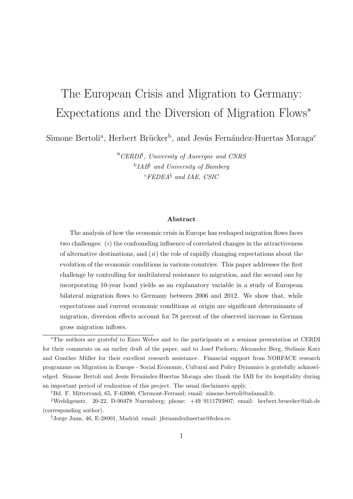# The European Crisis and Migration to Germany: Expectations and the Diversion of Migration Flows*<sup>∗</sup>*

Simone Bertoli<sup>a</sup>, Herbert Brücker<sup>b</sup>, and Jesús Fernández-Huertas Moraga<sup>c</sup>

<sup>a</sup>*CERDI† , University of Auvergne and CNRS* b *IAB‡ and University of Bamberg* <sup>c</sup>*FEDEA§ and IAE, CSIC*

#### **Abstract**

The analysis of how the economic crisis in Europe has reshaped migration flows faces two challenges: (*i*) the confounding influence of correlated changes in the attractiveness of alternative destinations, and (*ii*) the role of rapidly changing expectations about the evolution of the economic conditions in various countries. This paper addresses the first challenge by controlling for multilateral resistance to migration, and the second one by incorporating 10-year bond yields as an explanatory variable in a study of European bilateral migration flows to Germany between 2006 and 2012. We show that, while expectations and current economic conditions at origin are significant determinants of migration, diversion effects account for 78 percent of the observed increase in German gross migration inflows.

*<sup>∗</sup>*The authors are grateful to Enzo Weber and to the participants at a seminar presentation at CERDI for their comments on an earlier draft of the paper, and to Josef Pschorn, Alexander Berg, Stefanie Katz and Gunther Müller for their excellent research assistance. Financial support from NORFACE research programme on Migration in Europe - Social Economic, Cultural and Policy Dynamics is gratefully acknowledged. Simone Bertoli and Jesús Fernández-Huertas Moraga also thank the IAB for its hospitality during an important period of realization of this project. The usual disclaimers apply.

*<sup>†</sup>*Bd. F. Mitterrand, 65, F-63000, Clermont-Ferrand; email: simone.bertoli@udamail.fr.

*<sup>‡</sup>*Weddigenstr. 20-22, D-90478 Nuremberg; phone: +49 9111793807; email: herbert.bruecker@iab.de (corresponding author).

*<sup>§</sup>*Jorge Juan, 46, E-28001, Madrid; email: jfernandezhuertas@fedea.es.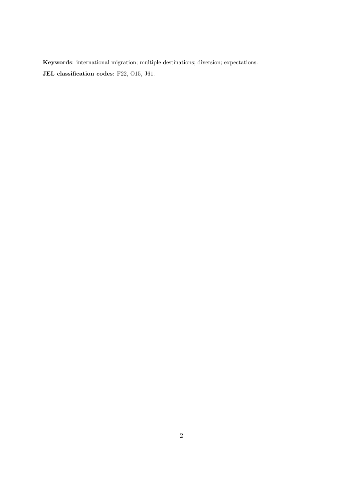**Keywords**: international migration; multiple destinations; diversion; expectations. **JEL classification codes**: F22, O15, J61.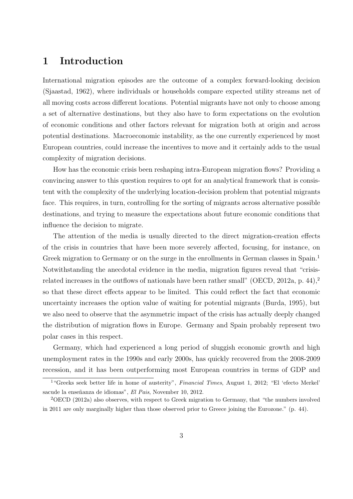# **1 Introduction**

International migration episodes are the outcome of a complex forward-looking decision (Sjaastad, 1962), where individuals or households compare expected utility streams net of all moving costs across different locations. Potential migrants have not only to choose among a set of alternative destinations, but they also have to form expectations on the evolution of economic conditions and other factors relevant for migration both at origin and across potential destinations. Macroeconomic instability, as the one currently experienced by most European countries, could increase the incentives to move and it certainly adds to the usual complexity of migration decisions.

How has the economic crisis been reshaping intra-European migration flows? Providing a convincing answer to this question requires to opt for an analytical framework that is consistent with the complexity of the underlying location-decision problem that potential migrants face. This requires, in turn, controlling for the sorting of migrants across alternative possible destinations, and trying to measure the expectations about future economic conditions that influence the decision to migrate.

The attention of the media is usually directed to the direct migration-creation effects of the crisis in countries that have been more severely affected, focusing, for instance, on Greek migration to Germany or on the surge in the enrollments in German classes in Spain.<sup>1</sup> Notwithstanding the anecdotal evidence in the media, migration figures reveal that "crisisrelated increases in the outflows of nationals have been rather small" (OECD, 2012a, p. 44),<sup>2</sup> so that these direct effects appear to be limited. This could reflect the fact that economic uncertainty increases the option value of waiting for potential migrants (Burda, 1995), but we also need to observe that the asymmetric impact of the crisis has actually deeply changed the distribution of migration flows in Europe. Germany and Spain probably represent two polar cases in this respect.

Germany, which had experienced a long period of sluggish economic growth and high unemployment rates in the 1990s and early 2000s, has quickly recovered from the 2008-2009 recession, and it has been outperforming most European countries in terms of GDP and

<sup>1</sup>"Greeks seek better life in home of austerity", *Financial Times*, August 1, 2012; "El 'efecto Merkel' sacude la enseñanza de idiomas", *El Pais*, November 10, 2012.

<sup>2</sup>OECD (2012a) also observes, with respect to Greek migration to Germany, that "the numbers involved in 2011 are only marginally higher than those observed prior to Greece joining the Eurozone." (p. 44).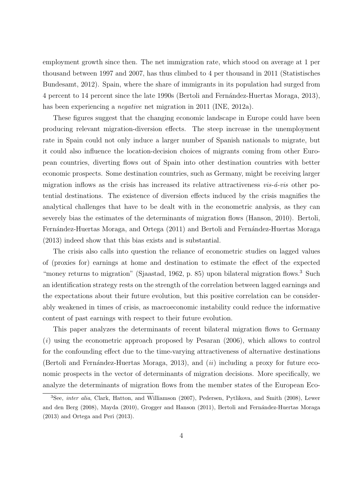employment growth since then. The net immigration rate, which stood on average at 1 per thousand between 1997 and 2007, has thus climbed to 4 per thousand in 2011 (Statistisches Bundesamt, 2012). Spain, where the share of immigrants in its population had surged from 4 percent to 14 percent since the late 1990s (Bertoli and Fern´andez-Huertas Moraga, 2013), has been experiencing a *negative* net migration in 2011 (INE, 2012a).

These figures suggest that the changing economic landscape in Europe could have been producing relevant migration-diversion effects. The steep increase in the unemployment rate in Spain could not only induce a larger number of Spanish nationals to migrate, but it could also influence the location-decision choices of migrants coming from other European countries, diverting flows out of Spain into other destination countries with better economic prospects. Some destination countries, such as Germany, might be receiving larger migration inflows as the crisis has increased its relative attractiveness  $vis-*a*-vis$  other potential destinations. The existence of diversion effects induced by the crisis magnifies the analytical challenges that have to be dealt with in the econometric analysis, as they can severely bias the estimates of the determinants of migration flows (Hanson, 2010). Bertoli, Fernández-Huertas Moraga, and Ortega (2011) and Bertoli and Fernández-Huertas Moraga (2013) indeed show that this bias exists and is substantial.

The crisis also calls into question the reliance of econometric studies on lagged values of (proxies for) earnings at home and destination to estimate the effect of the expected "money returns to migration" (Sjaastad, 1962, p. 85) upon bilateral migration flows.<sup>3</sup> Such an identification strategy rests on the strength of the correlation between lagged earnings and the expectations about their future evolution, but this positive correlation can be considerably weakened in times of crisis, as macroeconomic instability could reduce the informative content of past earnings with respect to their future evolution.

This paper analyzes the determinants of recent bilateral migration flows to Germany (*i*) using the econometric approach proposed by Pesaran (2006), which allows to control for the confounding effect due to the time-varying attractiveness of alternative destinations (Bertoli and Fernández-Huertas Moraga, 2013), and  $(ii)$  including a proxy for future economic prospects in the vector of determinants of migration decisions. More specifically, we analyze the determinants of migration flows from the member states of the European Eco-

<sup>&</sup>lt;sup>3</sup>See, *inter alia*, Clark, Hatton, and Williamson (2007), Pedersen, Pytlikova, and Smith (2008), Lewer and den Berg (2008), Mayda (2010), Grogger and Hanson (2011), Bertoli and Fernández-Huertas Moraga (2013) and Ortega and Peri (2013).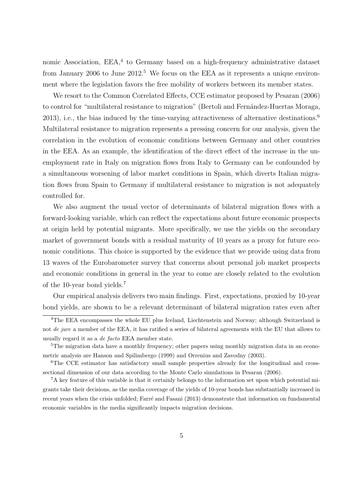nomic Association, EEA,<sup>4</sup> to Germany based on a high-frequency administrative dataset from January 2006 to June  $2012<sup>5</sup>$ . We focus on the EEA as it represents a unique environment where the legislation favors the free mobility of workers between its member states.

We resort to the Common Correlated Effects, CCE estimator proposed by Pesaran (2006) to control for "multilateral resistance to migration" (Bertoli and Fernández-Huertas Moraga, 2013), i.e., the bias induced by the time-varying attractiveness of alternative destinations.<sup>6</sup> Multilateral resistance to migration represents a pressing concern for our analysis, given the correlation in the evolution of economic conditions between Germany and other countries in the EEA. As an example, the identification of the direct effect of the increase in the unemployment rate in Italy on migration flows from Italy to Germany can be confounded by a simultaneous worsening of labor market conditions in Spain, which diverts Italian migration flows from Spain to Germany if multilateral resistance to migration is not adequately controlled for.

We also augment the usual vector of determinants of bilateral migration flows with a forward-looking variable, which can reflect the expectations about future economic prospects at origin held by potential migrants. More specifically, we use the yields on the secondary market of government bonds with a residual maturity of 10 years as a proxy for future economic conditions. This choice is supported by the evidence that we provide using data from 13 waves of the Eurobarometer survey that concerns about personal job market prospects and economic conditions in general in the year to come are closely related to the evolution of the 10-year bond yields.<sup>7</sup>

Our empirical analysis delivers two main findings. First, expectations, proxied by 10-year bond yields, are shown to be a relevant determinant of bilateral migration rates even after

<sup>&</sup>lt;sup>4</sup>The EEA encompasses the whole EU plus Iceland, Liechtenstein and Norway; although Switzerland is not *de jure* a member of the EEA, it has ratified a series of bilateral agreements with the EU that allows to usually regard it as a *de facto* EEA member state.

<sup>&</sup>lt;sup>5</sup>The migration data have a monthly frequency; other papers using monthly migration data in an econometric analysis are Hanson and Spilimbergo (1999) and Orrenius and Zavodny (2003).

<sup>&</sup>lt;sup>6</sup>The CCE estimator has satisfactory small sample properties already for the longitudinal and crosssectional dimension of our data according to the Monte Carlo simulations in Pesaran (2006).

<sup>7</sup>A key feature of this variable is that it certainly belongs to the information set upon which potential migrants take their decisions, as the media coverage of the yields of 10-year bonds has substantially increased in recent years when the crisis unfolded; Farré and Fasani (2013) demonstrate that information on fundamental economic variables in the media significantly impacts migration decisions.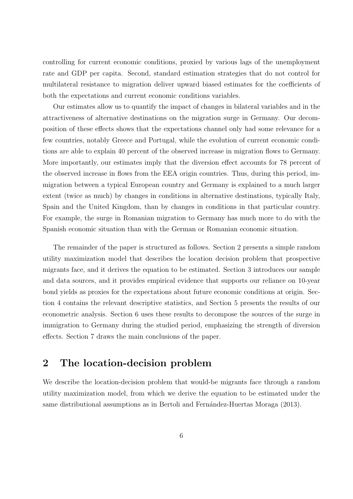controlling for current economic conditions, proxied by various lags of the unemployment rate and GDP per capita. Second, standard estimation strategies that do not control for multilateral resistance to migration deliver upward biased estimates for the coefficients of both the expectations and current economic conditions variables.

Our estimates allow us to quantify the impact of changes in bilateral variables and in the attractiveness of alternative destinations on the migration surge in Germany. Our decomposition of these effects shows that the expectations channel only had some relevance for a few countries, notably Greece and Portugal, while the evolution of current economic conditions are able to explain 40 percent of the observed increase in migration flows to Germany. More importantly, our estimates imply that the diversion effect accounts for 78 percent of the observed increase in flows from the EEA origin countries. Thus, during this period, immigration between a typical European country and Germany is explained to a much larger extent (twice as much) by changes in conditions in alternative destinations, typically Italy, Spain and the United Kingdom, than by changes in conditions in that particular country. For example, the surge in Romanian migration to Germany has much more to do with the Spanish economic situation than with the German or Romanian economic situation.

The remainder of the paper is structured as follows. Section 2 presents a simple random utility maximization model that describes the location decision problem that prospective migrants face, and it derives the equation to be estimated. Section 3 introduces our sample and data sources, and it provides empirical evidence that supports our reliance on 10-year bond yields as proxies for the expectations about future economic conditions at origin. Section 4 contains the relevant descriptive statistics, and Section 5 presents the results of our econometric analysis. Section 6 uses these results to decompose the sources of the surge in immigration to Germany during the studied period, emphasizing the strength of diversion effects. Section 7 draws the main conclusions of the paper.

# **2 The location-decision problem**

We describe the location-decision problem that would-be migrants face through a random utility maximization model, from which we derive the equation to be estimated under the same distributional assumptions as in Bertoli and Fernández-Huertas Moraga (2013).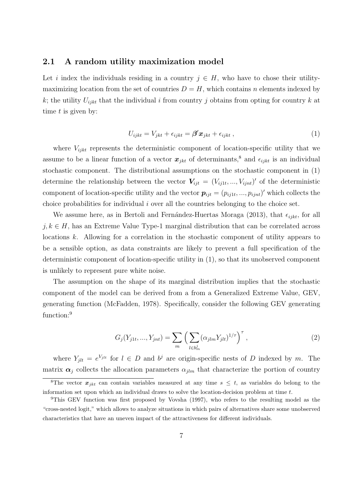#### **2.1 A random utility maximization model**

Let *i* index the individuals residing in a country  $j \in H$ , who have to chose their utilitymaximizing location from the set of countries  $D = H$ , which contains *n* elements indexed by *k*; the utility  $U_{iikt}$  that the individual *i* from country *j* obtains from opting for country *k* at time *t* is given by:

$$
U_{ijkt} = V_{jkt} + \epsilon_{ijkt} = \beta' \mathbf{x}_{jkt} + \epsilon_{ijkt} , \qquad (1)
$$

where  $V_{i,jkt}$  represents the deterministic component of location-specific utility that we assume to be a linear function of a vector  $x_{jkt}$  of determinants,<sup>8</sup> and  $\epsilon_{ijkt}$  is an individual stochastic component. The distributional assumptions on the stochastic component in (1) determine the relationship between the vector  $V_{ijt} = (V_{ij1t}, ..., V_{ijnt})'$  of the deterministic component of location-specific utility and the vector  $p_{ijt} = (p_{ij1t}, ..., p_{ijnt})'$  which collects the choice probabilities for individual *i* over all the countries belonging to the choice set.

We assume here, as in Bertoli and Fernández-Huertas Moraga (2013), that  $\epsilon_{ijkt}$ , for all  $j, k \in H$ , has an Extreme Value Type-1 marginal distribution that can be correlated across locations *k*. Allowing for a correlation in the stochastic component of utility appears to be a sensible option, as data constraints are likely to prevent a full specification of the deterministic component of location-specific utility in (1), so that its unobserved component is unlikely to represent pure white noise.

The assumption on the shape of its marginal distribution implies that the stochastic component of the model can be derived from a from a Generalized Extreme Value, GEV, generating function (McFadden, 1978). Specifically, consider the following GEV generating function:<sup>9</sup>

$$
G_j(Y_{j1t}, ..., Y_{jnt}) = \sum_m \left( \sum_{l \in b_m^j} (\alpha_{jlm} Y_{jlt})^{1/\tau} \right)^{\tau}, \qquad (2)
$$

where  $Y_{jlt} = e^{V_{jlt}}$  for  $l \in D$  and  $b^j$  are origin-specific nests of *D* indexed by *m*. The matrix  $\alpha_j$  collects the allocation parameters  $\alpha_{jlm}$  that characterize the portion of country

<sup>&</sup>lt;sup>8</sup>The vector  $x_{ikt}$  can contain variables measured at any time  $s \leq t$ , as variables do belong to the information set upon which an individual draws to solve the location-decision problem at time *t*.

<sup>&</sup>lt;sup>9</sup>This GEV function was first proposed by Vovsha (1997), who refers to the resulting model as the "cross-nested logit," which allows to analyze situations in which pairs of alternatives share some unobserved characteristics that have an uneven impact of the attractiveness for different individuals.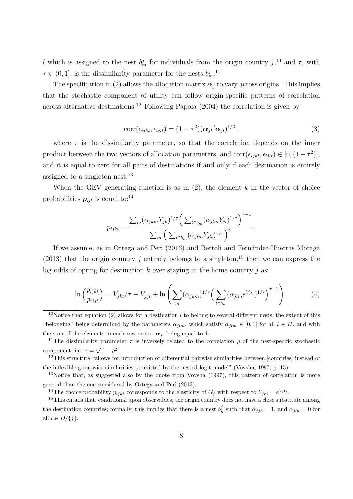*l* which is assigned to the nest  $b_m^j$  for individuals from the origin country  $j$ <sup>10</sup>, and  $\tau$ , with  $\tau \in (0, 1]$ , is the dissimilarity parameter for the nests  $b_m^j$ .<sup>11</sup>

The specification in (2) allows the allocation matrix  $\alpha_j$  to vary across origins. This implies that the stochastic component of utility can follow origin-specific patterns of correlation across alternative destinations.<sup>12</sup> Following Papola  $(2004)$  the correlation is given by

$$
corr(\epsilon_{ijkt}, \epsilon_{ijlt}) = (1 - \tau^2) (\boldsymbol{\alpha}_{jk}^{\prime} \boldsymbol{\alpha}_{jl})^{1/2}, \qquad (3)
$$

where  $\tau$  is the dissimilarity parameter, so that the correlation depends on the inner product between the two vectors of allocation parameters, and corr $(\epsilon_{ijkt}, \epsilon_{ijlt}) \in [0, (1 - \tau^2)]$ , and it is equal to zero for all pairs of destinations if and only if each destination is entirely assigned to a singleton nest.<sup>13</sup>

When the GEV generating function is as in  $(2)$ , the element  $k$  in the vector of choice probabilities  $p_{ijt}$  is equal to:<sup>14</sup>

$$
p_{ijkt} = \frac{\sum_{m} (\alpha_{jkm} Y_{jk})^{1/\tau} \left( \sum_{l \in b_m} (\alpha_{jlm} Y_{jl})^{1/\tau} \right)^{\tau-1}}{\sum_{m} \left( \sum_{l \in b_m} (\alpha_{jlm} Y_{jlt})^{1/\tau} \right)^{\tau}}.
$$

If we assume, as in Ortega and Peri (2013) and Bertoli and Fernández-Huertas Moraga (2013) that the origin country *j* entirely belongs to a singleton,<sup>15</sup> then we can express the log odds of opting for destination *k* over staying in the home country *j* as:

$$
\ln\left(\frac{p_{ijkt}}{p_{ijjt}}\right) = V_{jkt}/\tau - V_{jjt} + \ln\left(\sum_m (\alpha_{jkm})^{1/\tau} \left(\sum_{l \in b_m} (\alpha_{jlm} e^{V_{jlt}})^{1/\tau}\right)^{\tau-1}\right). \tag{4}
$$

<sup>10</sup>Notice that equation (2) allows for a destination *l* to belong to several different nests, the extent of this "belonging" being determined by the parameters  $\alpha_{ilm}$ , which satisfy  $\alpha_{ilm} \in [0,1]$  for all  $l \in H$ , and with the sum of the elements in each row vector  $\alpha_{jl}$  being equal to 1.

<sup>11</sup>The dissimilarity parameter  $\tau$  is inversely related to the correlation  $\rho$  of the nest-specific stochastic component, i.e.  $\tau = \sqrt{1 - \rho^2}$ .

<sup>12</sup>This structure "allows for introduction of differential pairwise similarities between [countries] instead of the inflexible groupwise similarities permitted by the nested logit model" (Vovsha, 1997, p. 15).

<sup>13</sup>Notice that, as suggested also by the quote from Vovsha (1997), this pattern of correlation is more general than the one considered by Ortega and Peri (2013).

<sup>14</sup>The choice probability  $p_{ijkt}$  corresponds to the elasticity of  $G_j$  with respect to  $Y_{jkt} = e^{V_{jkt}}$ .

<sup>15</sup>This entails that, conditional upon observables, the origin country does not have a close substitute among the destination countries; formally, this implies that there is a nest  $b_h^j$  such that  $\alpha_{jjh} = 1$ , and  $\alpha_{jlh} = 0$  for all  $l \in D/\{j\}$ .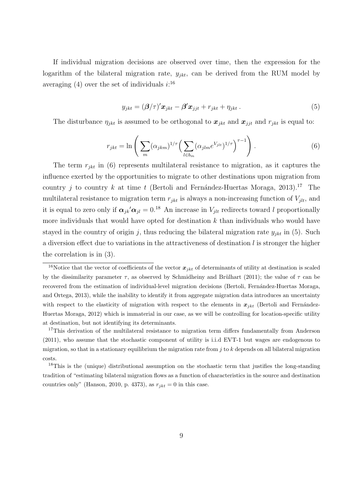If individual migration decisions are observed over time, then the expression for the logarithm of the bilateral migration rate,  $y_{jkt}$ , can be derived from the RUM model by averaging  $(4)$  over the set of individuals  $i:$ <sup>16</sup>

$$
y_{jkt} = (\beta/\tau)' \mathbf{x}_{jkt} - \beta' \mathbf{x}_{jjt} + r_{jkt} + \eta_{jkt} . \tag{5}
$$

The disturbance  $\eta_{jkt}$  is assumed to be orthogonal to  $x_{jkt}$  and  $x_{jit}$  and  $r_{jkt}$  is equal to:

$$
r_{jkt} = \ln\left(\sum_{m} (\alpha_{jkm})^{1/\tau} \left(\sum_{l \in b_m} (\alpha_{jlm} e^{V_{jlt}})^{1/\tau}\right)^{\tau-1}\right). \tag{6}
$$

The term *rjkt* in (6) represents multilateral resistance to migration, as it captures the influence exerted by the opportunities to migrate to other destinations upon migration from country *j* to country *k* at time *t* (Bertoli and Fernández-Huertas Moraga, 2013).<sup>17</sup> The multilateral resistance to migration term  $r_{jkt}$  is always a non-increasing function of  $V_{jlt}$ , and it is equal to zero only if  $\alpha_{jk}'\alpha_{jl} = 0.18$  An increase in  $V_{jlt}$  redirects toward *l* proportionally more individuals that would have opted for destination *k* than individuals who would have stayed in the country of origin *j*, thus reducing the bilateral migration rate  $y_{jkt}$  in (5). Such a diversion effect due to variations in the attractiveness of destination *l* is stronger the higher the correlation is in (3).

<sup>&</sup>lt;sup>16</sup>Notice that the vector of coefficients of the vector  $x_{jkt}$  of determinants of utility at destination is scaled by the dissimilarity parameter  $\tau$ , as observed by Schmidheiny and Brülhart (2011); the value of  $\tau$  can be recovered from the estimation of individual-level migration decisions (Bertoli, Fernández-Huertas Moraga, and Ortega, 2013), while the inability to identify it from aggregate migration data introduces an uncertainty with respect to the elasticity of migration with respect to the elements in  $x_{jkt}$  (Bertoli and Fernández-Huertas Moraga, 2012) which is immaterial in our case, as we will be controlling for location-specific utility at destination, but not identifying its determinants.

<sup>&</sup>lt;sup>17</sup>This derivation of the multilateral resistance to migration term differs fundamentally from Anderson (2011), who assume that the stochastic component of utility is i.i.d EVT-1 but wages are endogenous to migration, so that in a stationary equilibrium the migration rate from *j* to *k* depends on all bilateral migration costs.

<sup>&</sup>lt;sup>18</sup>This is the (unique) distributional assumption on the stochastic term that justifies the long-standing tradition of "estimating bilateral migration flows as a function of characteristics in the source and destination countries only" (Hanson, 2010, p. 4373), as  $r_{jkt} = 0$  in this case.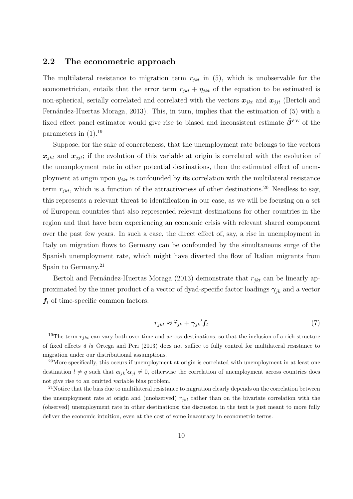### **2.2 The econometric approach**

The multilateral resistance to migration term  $r_{jkt}$  in  $(5)$ , which is unobservable for the econometrician, entails that the error term  $r_{jkt} + \eta_{jkt}$  of the equation to be estimated is non-spherical, serially correlated and correlated with the vectors  $x_{jkt}$  and  $x_{jjt}$  (Bertoli and Fernández-Huertas Moraga, 2013). This, in turn, implies that the estimation of (5) with a fixed effect panel estimator would give rise to biased and inconsistent estimate *β***ˆ***F E* of the parameters in (1).<sup>19</sup>

Suppose, for the sake of concreteness, that the unemployment rate belongs to the vectors  $x_{ikt}$  and  $x_{jit}$ ; if the evolution of this variable at origin is correlated with the evolution of the unemployment rate in other potential destinations, then the estimated effect of unemployment at origin upon  $y_{jkt}$  is confounded by its correlation with the multilateral resistance term  $r_{jkt}$ , which is a function of the attractiveness of other destinations.<sup>20</sup> Needless to say, this represents a relevant threat to identification in our case, as we will be focusing on a set of European countries that also represented relevant destinations for other countries in the region and that have been experiencing an economic crisis with relevant shared component over the past few years. In such a case, the direct effect of, say, a rise in unemployment in Italy on migration flows to Germany can be confounded by the simultaneous surge of the Spanish unemployment rate, which might have diverted the flow of Italian migrants from Spain to Germany.<sup>21</sup>

Bertoli and Fernández-Huertas Moraga (2013) demonstrate that  $r_{ikt}$  can be linearly approximated by the inner product of a vector of dyad-specific factor loadings  $\gamma_{ik}$  and a vector  $f_t$  of time-specific common factors:

$$
r_{jkt} \approx \widetilde{r}_{jk} + \gamma_{jk}' \mathbf{f}_t \tag{7}
$$

<sup>&</sup>lt;sup>19</sup>The term  $r_{jkt}$  can vary both over time and across destinations, so that the inclusion of a rich structure of fixed effects *`a la* Ortega and Peri (2013) does not suffice to fully control for multilateral resistance to migration under our distributional assumptions.

<sup>&</sup>lt;sup>20</sup>More specifically, this occurs if unemployment at origin is correlated with unemployment in at least one destination  $l \neq q$  such that  $\alpha_{jk}'\alpha_{jl} \neq 0$ , otherwise the correlation of unemployment across countries does not give rise to an omitted variable bias problem.

<sup>&</sup>lt;sup>21</sup>Notice that the bias due to multilateral resistance to migration clearly depends on the correlation between the unemployment rate at origin and (unobserved) *rjkt* rather than on the bivariate correlation with the (observed) unemployment rate in other destinations; the discussion in the text is just meant to more fully deliver the economic intuition, even at the cost of some inaccuracy in econometric terms.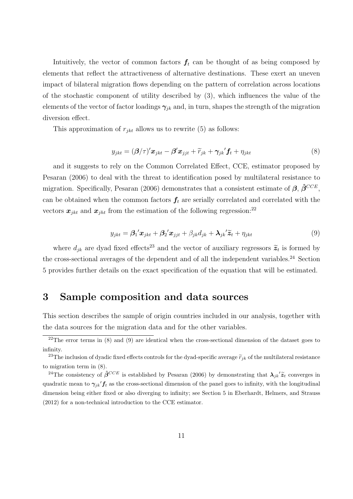Intuitively, the vector of common factors  $f_t$  can be thought of as being composed by elements that reflect the attractiveness of alternative destinations. These exert an uneven impact of bilateral migration flows depending on the pattern of correlation across locations of the stochastic component of utility described by (3), which influences the value of the elements of the vector of factor loadings  $\gamma_{ik}$  and, in turn, shapes the strength of the migration diversion effect.

This approximation of  $r_{ikt}$  allows us to rewrite (5) as follows:

$$
y_{jkt} = (\beta/\tau)' \mathbf{x}_{jkt} - \beta' \mathbf{x}_{jjt} + \widetilde{r}_{jk} + \gamma_{jk'} \mathbf{f}_t + \eta_{jkt}
$$
\n(8)

and it suggests to rely on the Common Correlated Effect, CCE, estimator proposed by Pesaran (2006) to deal with the threat to identification posed by multilateral resistance to migration. Specifically, Pesaran (2006) demonstrates that a consistent estimate of *β*, *β***ˆ***CCE*, can be obtained when the common factors  $f_t$  are serially correlated and correlated with the vectors  $x_{ikt}$  and  $x_{jht}$  from the estimation of the following regression:<sup>22</sup>

$$
y_{jkt} = \beta_1' \boldsymbol{x}_{jkt} + \beta_2' \boldsymbol{x}_{jjt} + \beta_{jk} d_{jk} + \boldsymbol{\lambda}_{jk} \tilde{\boldsymbol{z}}_t + \eta_{jkt}
$$
(9)

where  $d_{jk}$  are dyad fixed effects<sup>23</sup> and the vector of auxiliary regressors  $\tilde{z}_t$  is formed by the cross-sectional averages of the dependent and of all the independent variables.<sup>24</sup> Section 5 provides further details on the exact specification of the equation that will be estimated.

# **3 Sample composition and data sources**

This section describes the sample of origin countries included in our analysis, together with the data sources for the migration data and for the other variables.

 $22$ The error terms in (8) and (9) are identical when the cross-sectional dimension of the dataset goes to infinity.

<sup>&</sup>lt;sup>23</sup>The inclusion of dyadic fixed effects controls for the dyad-specific average  $\tilde{r}_{ik}$  of the multilateral resistance to migration term in (8).

<sup>&</sup>lt;sup>24</sup>The consistency of  $\hat{\beta}^{CCE}$  is established by Pesaran (2006) by demonstrating that  $\lambda_{jk}^{'}\tilde{z}_t$  converges in quadratic mean to  $\gamma_{jk}' f_t$  as the cross-sectional dimension of the panel goes to infinity, with the longitudinal dimension being either fixed or also diverging to infinity; see Section 5 in Eberhardt, Helmers, and Strauss (2012) for a non-technical introduction to the CCE estimator.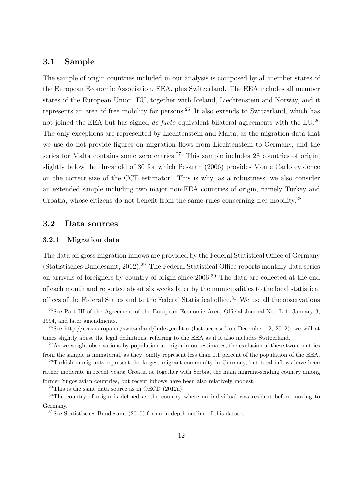### **3.1 Sample**

The sample of origin countries included in our analysis is composed by all member states of the European Economic Association, EEA, plus Switzerland. The EEA includes all member states of the European Union, EU, together with Iceland, Liechtenstein and Norway, and it represents an area of free mobility for persons.<sup>25</sup> It also extends to Switzerland, which has not joined the EEA but has signed *de facto* equivalent bilateral agreements with the EU.<sup>26</sup> The only exceptions are represented by Liechtenstein and Malta, as the migration data that we use do not provide figures on migration flows from Liechtenstein to Germany, and the series for Malta contains some zero entries.<sup>27</sup> This sample includes 28 countries of origin, slightly below the threshold of 30 for which Pesaran (2006) provides Monte Carlo evidence on the correct size of the CCE estimator. This is why, as a robustness, we also consider an extended sample including two major non-EEA countries of origin, namely Turkey and Croatia, whose citizens do not benefit from the same rules concerning free mobility.<sup>28</sup>

### **3.2 Data sources**

#### **3.2.1 Migration data**

The data on gross migration inflows are provided by the Federal Statistical Office of Germany (Statistisches Bundesamt, 2012).<sup>29</sup> The Federal Statistical Office reports monthly data series on arrivals of foreigners by country of origin since 2006.<sup>30</sup> The data are collected at the end of each month and reported about six weeks later by the municipalities to the local statistical offices of the Federal States and to the Federal Statistical office.<sup>31</sup> We use all the observations

former Yugoslavian countries, but recent inflows have been also relatively modest.

 $29$ This is the same data source as in OECD (2012a).

 $^{25}$ See Part III of the Agreement of the European Economic Area, Official Journal No. L 1, January 3, 1994, and later amendments.

<sup>26</sup>See http://eeas.europa.eu/switzerland/index en.htm (last accessed on December 12, 2012); we will at times slightly abuse the legal definitions, referring to the EEA as if it also includes Switzerland.

<sup>&</sup>lt;sup>27</sup>As we weight observations by population at origin in our estimates, the exclusion of these two countries from the sample is immaterial, as they jointly represent less than 0.1 percent of the population of the EEA.

<sup>&</sup>lt;sup>28</sup>Turkish immigrants represent the largest migrant community in Germany, but total inflows have been rather moderate in recent years; Croatia is, together with Serbia, the main migrant-sending country among

<sup>&</sup>lt;sup>30</sup>The country of origin is defined as the country where an individual was resident before moving to Germany.

<sup>31</sup>See Statistisches Bundesamt (2010) for an in-depth outline of this dataset.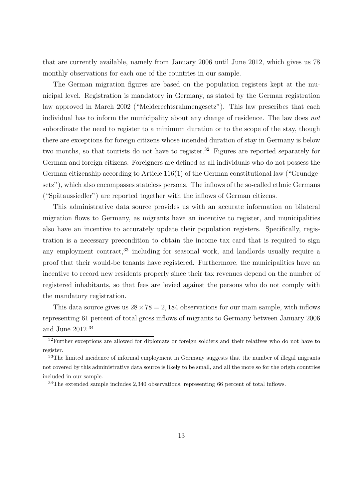that are currently available, namely from January 2006 until June 2012, which gives us 78 monthly observations for each one of the countries in our sample.

The German migration figures are based on the population registers kept at the municipal level. Registration is mandatory in Germany, as stated by the German registration law approved in March 2002 ("Melderechtsrahmengesetz"). This law prescribes that each individual has to inform the municipality about any change of residence. The law does *not* subordinate the need to register to a minimum duration or to the scope of the stay, though there are exceptions for foreign citizens whose intended duration of stay in Germany is below two months, so that tourists do not have to register.<sup>32</sup> Figures are reported separately for German and foreign citizens. Foreigners are defined as all individuals who do not possess the German citizenship according to Article 116(1) of the German constitutional law ("Grundgesetz"), which also encompasses stateless persons. The inflows of the so-called ethnic Germans  $("Spätaussieder")$  are reported together with the inflows of German citizens.

This administrative data source provides us with an accurate information on bilateral migration flows to Germany, as migrants have an incentive to register, and municipalities also have an incentive to accurately update their population registers. Specifically, registration is a necessary precondition to obtain the income tax card that is required to sign any employment contract,<sup>33</sup> including for seasonal work, and landlords usually require a proof that their would-be tenants have registered. Furthermore, the municipalities have an incentive to record new residents properly since their tax revenues depend on the number of registered inhabitants, so that fees are levied against the persons who do not comply with the mandatory registration.

This data source gives us  $28 \times 78 = 2,184$  observations for our main sample, with inflows representing 61 percent of total gross inflows of migrants to Germany between January 2006 and June  $2012.^{34}$ 

 $32$ Further exceptions are allowed for diplomats or foreign soldiers and their relatives who do not have to register.

<sup>&</sup>lt;sup>33</sup>The limited incidence of informal employment in Germany suggests that the number of illegal migrants not covered by this administrative data source is likely to be small, and all the more so for the origin countries included in our sample.

<sup>&</sup>lt;sup>34</sup>The extended sample includes 2,340 observations, representing 66 percent of total inflows.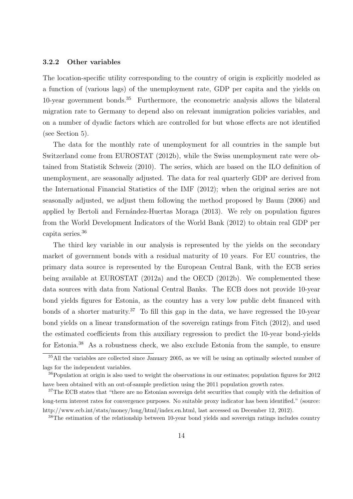#### **3.2.2 Other variables**

The location-specific utility corresponding to the country of origin is explicitly modeled as a function of (various lags) of the unemployment rate, GDP per capita and the yields on 10-year government bonds.<sup>35</sup> Furthermore, the econometric analysis allows the bilateral migration rate to Germany to depend also on relevant immigration policies variables, and on a number of dyadic factors which are controlled for but whose effects are not identified (see Section 5).

The data for the monthly rate of unemployment for all countries in the sample but Switzerland come from EUROSTAT (2012b), while the Swiss unemployment rate were obtained from Statistik Schweiz (2010). The series, which are based on the ILO definition of unemployment, are seasonally adjusted. The data for real quarterly GDP are derived from the International Financial Statistics of the IMF (2012); when the original series are not seasonally adjusted, we adjust them following the method proposed by Baum (2006) and applied by Bertoli and Fernández-Huertas Moraga (2013). We rely on population figures from the World Development Indicators of the World Bank (2012) to obtain real GDP per capita series.<sup>36</sup>

The third key variable in our analysis is represented by the yields on the secondary market of government bonds with a residual maturity of 10 years. For EU countries, the primary data source is represented by the European Central Bank, with the ECB series being available at EUROSTAT (2012a) and the OECD (2012b). We complemented these data sources with data from National Central Banks. The ECB does not provide 10-year bond yields figures for Estonia, as the country has a very low public debt financed with bonds of a shorter maturity.<sup>37</sup> To fill this gap in the data, we have regressed the 10-year bond yields on a linear transformation of the sovereign ratings from Fitch (2012), and used the estimated coefficients from this auxiliary regression to predict the 10-year bond-yields for Estonia.<sup>38</sup> As a robustness check, we also exclude Estonia from the sample, to ensure

 $35$ All the variables are collected since January 2005, as we will be using an optimally selected number of lags for the independent variables.

<sup>36</sup>Population at origin is also used to weight the observations in our estimates; population figures for 2012 have been obtained with an out-of-sample prediction using the 2011 population growth rates.

<sup>&</sup>lt;sup>37</sup>The ECB states that "there are no Estonian sovereign debt securities that comply with the definition of long-term interest rates for convergence purposes. No suitable proxy indicator has been identified." (source: http://www.ecb.int/stats/money/long/html/index.en.html, last accessed on December 12, 2012).

<sup>&</sup>lt;sup>38</sup>The estimation of the relationship between 10-year bond yields and sovereign ratings includes country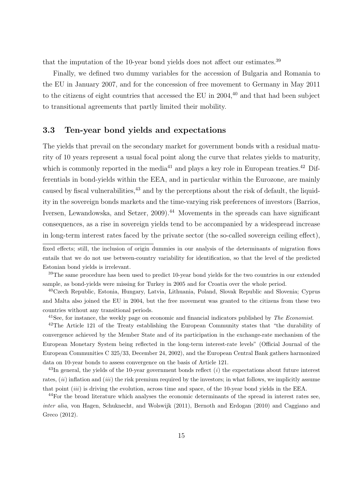that the imputation of the 10-year bond yields does not affect our estimates.<sup>39</sup>

Finally, we defined two dummy variables for the accession of Bulgaria and Romania to the EU in January 2007, and for the concession of free movement to Germany in May 2011 to the citizens of eight countries that accessed the EU in  $2004<sup>40</sup>$  and that had been subject to transitional agreements that partly limited their mobility.

### **3.3 Ten-year bond yields and expectations**

The yields that prevail on the secondary market for government bonds with a residual maturity of 10 years represent a usual focal point along the curve that relates yields to maturity, which is commonly reported in the media<sup>41</sup> and plays a key role in European treaties.<sup>42</sup> Differentials in bond-yields within the EEA, and in particular within the Eurozone, are mainly caused by fiscal vulnerabilities,  $43$  and by the perceptions about the risk of default, the liquidity in the sovereign bonds markets and the time-varying risk preferences of investors (Barrios, Iversen, Lewandowska, and Setzer, 2009).<sup>44</sup> Movements in the spreads can have significant consequences, as a rise in sovereign yields tend to be accompanied by a widespread increase in long-term interest rates faced by the private sector (the so-called sovereign ceiling effect),

<sup>40</sup>Czech Republic, Estonia, Hungary, Latvia, Lithuania, Poland, Slovak Republic and Slovenia; Cyprus and Malta also joined the EU in 2004, but the free movement was granted to the citizens from these two countries without any transitional periods.

<sup>41</sup>See, for instance, the weekly page on economic and financial indicators published by *The Economist*.

<sup>42</sup>The Article 121 of the Treaty establishing the European Community states that "the durability of convergence achieved by the Member State and of its participation in the exchange-rate mechanism of the European Monetary System being reflected in the long-term interest-rate levels" (Official Journal of the European Communities C 325/33, December 24, 2002), and the European Central Bank gathers harmonized data on 10-year bonds to assess convergence on the basis of Article 121.

<sup>43</sup>In general, the yields of the 10-year government bonds reflect (*i*) the expectations about future interest rates, (*ii*) inflation and (*iii*) the risk premium required by the investors; in what follows, we implicitly assume that point (*iii*) is driving the evolution, across time and space, of the 10-year bond yields in the EEA.

<sup>44</sup>For the broad literature which analyses the economic determinants of the spread in interest rates see, *inter alia*, von Hagen, Schuknecht, and Wolswijk (2011), Bernoth and Erdogan (2010) and Caggiano and Greco (2012).

fixed effects; still, the inclusion of origin dummies in our analysis of the determinants of migration flows entails that we do not use between-country variability for identification, so that the level of the predicted Estonian bond yields is irrelevant.

<sup>&</sup>lt;sup>39</sup>The same procedure has been used to predict 10-year bond yields for the two countries in our extended sample, as bond-yields were missing for Turkey in 2005 and for Croatia over the whole period.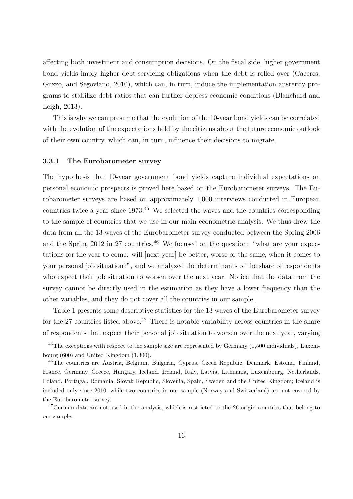affecting both investment and consumption decisions. On the fiscal side, higher government bond yields imply higher debt-servicing obligations when the debt is rolled over (Caceres, Guzzo, and Segoviano, 2010), which can, in turn, induce the implementation austerity programs to stabilize debt ratios that can further depress economic conditions (Blanchard and Leigh, 2013).

This is why we can presume that the evolution of the 10-year bond yields can be correlated with the evolution of the expectations held by the citizens about the future economic outlook of their own country, which can, in turn, influence their decisions to migrate.

#### **3.3.1 The Eurobarometer survey**

The hypothesis that 10-year government bond yields capture individual expectations on personal economic prospects is proved here based on the Eurobarometer surveys. The Eurobarometer surveys are based on approximately 1,000 interviews conducted in European countries twice a year since 1973.<sup>45</sup> We selected the waves and the countries corresponding to the sample of countries that we use in our main econometric analysis. We thus drew the data from all the 13 waves of the Eurobarometer survey conducted between the Spring 2006 and the Spring  $2012$  in  $27$  countries.<sup>46</sup> We focused on the question: "what are your expectations for the year to come: will [next year] be better, worse or the same, when it comes to your personal job situation?", and we analyzed the determinants of the share of respondents who expect their job situation to worsen over the next year. Notice that the data from the survey cannot be directly used in the estimation as they have a lower frequency than the other variables, and they do not cover all the countries in our sample.

Table 1 presents some descriptive statistics for the 13 waves of the Eurobarometer survey for the 27 countries listed above.<sup>47</sup> There is notable variability across countries in the share of respondents that expect their personal job situation to worsen over the next year, varying

 $45$ The exceptions with respect to the sample size are represented by Germany  $(1,500$  individuals), Luxembourg (600) and United Kingdom (1,300).

<sup>46</sup>The countries are Austria, Belgium, Bulgaria, Cyprus, Czech Republic, Denmark, Estonia, Finland, France, Germany, Greece, Hungary, Iceland, Ireland, Italy, Latvia, Lithuania, Luxembourg, Netherlands, Poland, Portugal, Romania, Slovak Republic, Slovenia, Spain, Sweden and the United Kingdom; Iceland is included only since 2010, while two countries in our sample (Norway and Switzerland) are not covered by the Eurobarometer survey.

<sup>&</sup>lt;sup>47</sup>German data are not used in the analysis, which is restricted to the 26 origin countries that belong to our sample.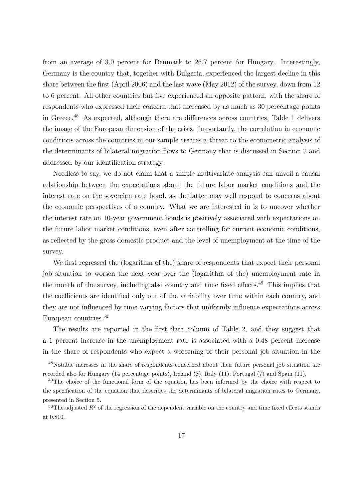from an average of 3.0 percent for Denmark to 26.7 percent for Hungary. Interestingly, Germany is the country that, together with Bulgaria, experienced the largest decline in this share between the first (April 2006) and the last wave (May 2012) of the survey, down from 12 to 6 percent. All other countries but five experienced an opposite pattern, with the share of respondents who expressed their concern that increased by as much as 30 percentage points in Greece.<sup>48</sup> As expected, although there are differences across countries, Table 1 delivers the image of the European dimension of the crisis. Importantly, the correlation in economic conditions across the countries in our sample creates a threat to the econometric analysis of the determinants of bilateral migration flows to Germany that is discussed in Section 2 and addressed by our identification strategy.

Needless to say, we do not claim that a simple multivariate analysis can unveil a causal relationship between the expectations about the future labor market conditions and the interest rate on the sovereign rate bond, as the latter may well respond to concerns about the economic perspectives of a country. What we are interested in is to uncover whether the interest rate on 10-year government bonds is positively associated with expectations on the future labor market conditions, even after controlling for current economic conditions, as reflected by the gross domestic product and the level of unemployment at the time of the survey.

We first regressed the (logarithm of the) share of respondents that expect their personal job situation to worsen the next year over the (logarithm of the) unemployment rate in the month of the survey, including also country and time fixed effects.<sup>49</sup> This implies that the coefficients are identified only out of the variability over time within each country, and they are not influenced by time-varying factors that uniformly influence expectations across European countries.<sup>50</sup>

The results are reported in the first data column of Table 2, and they suggest that a 1 percent increase in the unemployment rate is associated with a 0.48 percent increase in the share of respondents who expect a worsening of their personal job situation in the

<sup>48</sup>Notable increases in the share of respondents concerned about their future personal job situation are recorded also for Hungary (14 percentage points), Ireland (8), Italy (11), Portugal (7) and Spain (11).

<sup>&</sup>lt;sup>49</sup>The choice of the functional form of the equation has been informed by the choice with respect to the specification of the equation that describes the determinants of bilateral migration rates to Germany, presented in Section 5.

 $50$ The adjusted  $R<sup>2</sup>$  of the regression of the dependent variable on the country and time fixed effects stands at 0.810.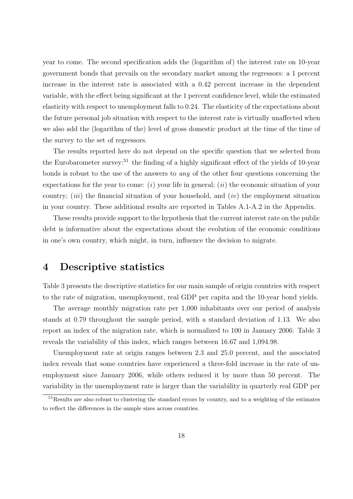year to come. The second specification adds the (logarithm of) the interest rate on 10-year government bonds that prevails on the secondary market among the regressors: a 1 percent increase in the interest rate is associated with a 0.42 percent increase in the dependent variable, with the effect being significant at the 1 percent confidence level, while the estimated elasticity with respect to unemployment falls to 0.24. The elasticity of the expectations about the future personal job situation with respect to the interest rate is virtually unaffected when we also add the (logarithm of the) level of gross domestic product at the time of the time of the survey to the set of regressors.

The results reported here do not depend on the specific question that we selected from the Eurobarometer survey:<sup>51</sup> the finding of a highly significant effect of the yields of 10-year bonds is robust to the use of the answers to *any* of the other four questions concerning the expectations for the year to come: (*i*) your life in general; (*ii*) the economic situation of your country; (*iii*) the financial situation of your household, and (*iv*) the employment situation in your country. These additional results are reported in Tables A.1-A.2 in the Appendix.

These results provide support to the hypothesis that the current interest rate on the public debt is informative about the expectations about the evolution of the economic conditions in one's own country, which might, in turn, influence the decision to migrate.

## **4 Descriptive statistics**

Table 3 presents the descriptive statistics for our main sample of origin countries with respect to the rate of migration, unemployment, real GDP per capita and the 10-year bond yields.

The average monthly migration rate per 1,000 inhabitants over our period of analysis stands at 0.79 throughout the sample period, with a standard deviation of 1.13. We also report an index of the migration rate, which is normalized to 100 in January 2006: Table 3 reveals the variability of this index, which ranges between 16.67 and 1,094.98.

Unemployment rate at origin ranges between 2.3 and 25.0 percent, and the associated index reveals that some countries have experienced a three-fold increase in the rate of unemployment since January 2006, while others reduced it by more than 50 percent. The variability in the unemployment rate is larger than the variability in quarterly real GDP per

 $51$ Results are also robust to clustering the standard errors by country, and to a weighting of the estimates to reflect the differences in the sample sizes across countries.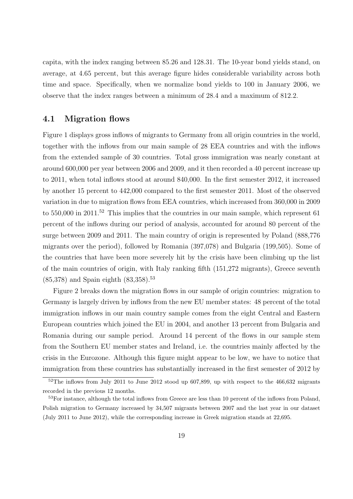capita, with the index ranging between 85.26 and 128.31. The 10-year bond yields stand, on average, at 4.65 percent, but this average figure hides considerable variability across both time and space. Specifically, when we normalize bond yields to 100 in January 2006, we observe that the index ranges between a minimum of 28.4 and a maximum of 812.2.

### **4.1 Migration flows**

Figure 1 displays gross inflows of migrants to Germany from all origin countries in the world, together with the inflows from our main sample of 28 EEA countries and with the inflows from the extended sample of 30 countries. Total gross immigration was nearly constant at around 600,000 per year between 2006 and 2009, and it then recorded a 40 percent increase up to 2011, when total inflows stood at around 840,000. In the first semester 2012, it increased by another 15 percent to 442,000 compared to the first semester 2011. Most of the observed variation in due to migration flows from EEA countries, which increased from 360,000 in 2009 to  $550,000$  in  $2011$ .<sup>52</sup> This implies that the countries in our main sample, which represent 61 percent of the inflows during our period of analysis, accounted for around 80 percent of the surge between 2009 and 2011. The main country of origin is represented by Poland (888,776 migrants over the period), followed by Romania (397,078) and Bulgaria (199,505). Some of the countries that have been more severely hit by the crisis have been climbing up the list of the main countries of origin, with Italy ranking fifth (151,272 migrants), Greece seventh  $(85,378)$  and Spain eighth  $(83,358)$ .<sup>53</sup>

Figure 2 breaks down the migration flows in our sample of origin countries: migration to Germany is largely driven by inflows from the new EU member states: 48 percent of the total immigration inflows in our main country sample comes from the eight Central and Eastern European countries which joined the EU in 2004, and another 13 percent from Bulgaria and Romania during our sample period. Around 14 percent of the flows in our sample stem from the Southern EU member states and Ireland, i.e. the countries mainly affected by the crisis in the Eurozone. Although this figure might appear to be low, we have to notice that immigration from these countries has substantially increased in the first semester of 2012 by

 $52$ The inflows from July 2011 to June 2012 stood up 607,899, up with respect to the 466,632 migrants recorded in the previous 12 months.

<sup>&</sup>lt;sup>53</sup>For instance, although the total inflows from Greece are less than 10 percent of the inflows from Poland, Polish migration to Germany increased by 34,507 migrants between 2007 and the last year in our dataset (July 2011 to June 2012), while the corresponding increase in Greek migration stands at 22,695.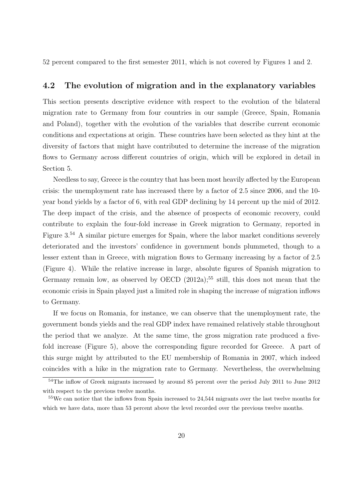52 percent compared to the first semester 2011, which is not covered by Figures 1 and 2.

### **4.2 The evolution of migration and in the explanatory variables**

This section presents descriptive evidence with respect to the evolution of the bilateral migration rate to Germany from four countries in our sample (Greece, Spain, Romania and Poland), together with the evolution of the variables that describe current economic conditions and expectations at origin. These countries have been selected as they hint at the diversity of factors that might have contributed to determine the increase of the migration flows to Germany across different countries of origin, which will be explored in detail in Section 5.

Needless to say, Greece is the country that has been most heavily affected by the European crisis: the unemployment rate has increased there by a factor of 2.5 since 2006, and the 10 year bond yields by a factor of 6, with real GDP declining by 14 percent up the mid of 2012. The deep impact of the crisis, and the absence of prospects of economic recovery, could contribute to explain the four-fold increase in Greek migration to Germany, reported in Figure 3.<sup>54</sup> A similar picture emerges for Spain, where the labor market conditions severely deteriorated and the investors' confidence in government bonds plummeted, though to a lesser extent than in Greece, with migration flows to Germany increasing by a factor of 2.5 (Figure 4). While the relative increase in large, absolute figures of Spanish migration to Germany remain low, as observed by OECD  $(2012a)$ ;<sup>55</sup> still, this does not mean that the economic crisis in Spain played just a limited role in shaping the increase of migration inflows to Germany.

If we focus on Romania, for instance, we can observe that the unemployment rate, the government bonds yields and the real GDP index have remained relatively stable throughout the period that we analyze. At the same time, the gross migration rate produced a fivefold increase (Figure 5), above the corresponding figure recorded for Greece. A part of this surge might by attributed to the EU membership of Romania in 2007, which indeed coincides with a hike in the migration rate to Germany. Nevertheless, the overwhelming

<sup>&</sup>lt;sup>54</sup>The inflow of Greek migrants increased by around 85 percent over the period July 2011 to June 2012 with respect to the previous twelve months.

<sup>&</sup>lt;sup>55</sup>We can notice that the inflows from Spain increased to 24,544 migrants over the last twelve months for which we have data, more than 53 percent above the level recorded over the previous twelve months.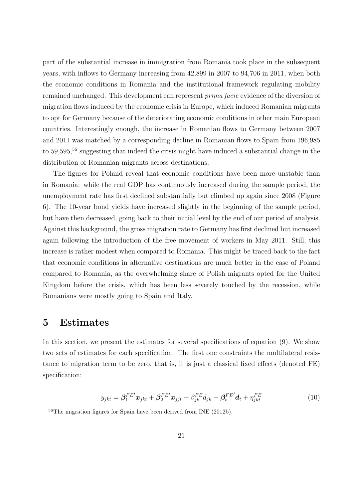part of the substantial increase in immigration from Romania took place in the subsequent years, with inflows to Germany increasing from 42,899 in 2007 to 94,706 in 2011, when both the economic conditions in Romania and the institutional framework regulating mobility remained unchanged. This development can represent *prima facie* evidence of the diversion of migration flows induced by the economic crisis in Europe, which induced Romanian migrants to opt for Germany because of the deteriorating economic conditions in other main European countries. Interestingly enough, the increase in Romanian flows to Germany between 2007 and 2011 was matched by a corresponding decline in Romanian flows to Spain from 196,985 to 59,595,<sup>56</sup> suggesting that indeed the crisis might have induced a substantial change in the distribution of Romanian migrants across destinations.

The figures for Poland reveal that economic conditions have been more unstable than in Romania: while the real GDP has continuously increased during the sample period, the unemployment rate has first declined substantially but climbed up again since 2008 (Figure 6). The 10-year bond yields have increased slightly in the beginning of the sample period, but have then decreased, going back to their initial level by the end of our period of analysis. Against this background, the gross migration rate to Germany has first declined but increased again following the introduction of the free movement of workers in May 2011. Still, this increase is rather modest when compared to Romania. This might be traced back to the fact that economic conditions in alternative destinations are much better in the case of Poland compared to Romania, as the overwhelming share of Polish migrants opted for the United Kingdom before the crisis, which has been less severely touched by the recession, while Romanians were mostly going to Spain and Italy.

### **5 Estimates**

In this section, we present the estimates for several specifications of equation (9). We show two sets of estimates for each specification. The first one constraints the multilateral resistance to migration term to be zero, that is, it is just a classical fixed effects (denoted FE) specification:

$$
y_{jkt} = \beta_1^{FE'} \boldsymbol{x}_{jkt} + \beta_2^{FE'} \boldsymbol{x}_{jjt} + \beta_{jk}^{FE} d_{jk} + \beta_t^{FE'} \boldsymbol{d}_t + \eta_{jkt}^{FE}
$$
(10)

 $56$ The migration figures for Spain have been derived from INE (2012b).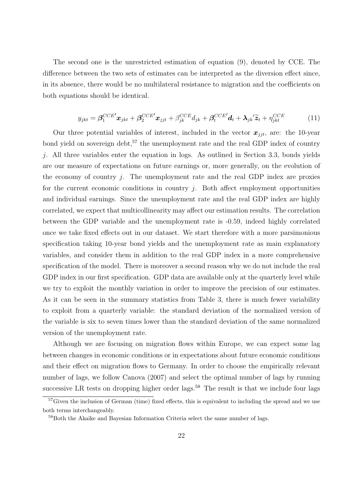The second one is the unrestricted estimation of equation (9), denoted by CCE. The difference between the two sets of estimates can be interpreted as the diversion effect since, in its absence, there would be no multilateral resistance to migration and the coefficients on both equations should be identical.

$$
y_{jkt} = \beta_1^{CCE'} \mathbf{x}_{jkt} + \beta_2^{CCE'} \mathbf{x}_{jjt} + \beta_{jk}^{CCE} d_{jk} + \beta_t^{CCE'} \mathbf{d}_t + \lambda_{jk} \tilde{\mathbf{z}}_t + \eta_{jkt}^{CCE}
$$
(11)

Our three potential variables of interest, included in the vector  $x_{jit}$ , are: the 10-year bond yield on sovereign debt,  $57$  the unemployment rate and the real GDP index of country *j*. All three variables enter the equation in logs. As outlined in Section 3.3, bonds yields are our measure of expectations on future earnings or, more generally, on the evolution of the economy of country *j*. The unemployment rate and the real GDP index are proxies for the current economic conditions in country *j*. Both affect employment opportunities and individual earnings. Since the unemployment rate and the real GDP index are highly correlated, we expect that multicollinearity may affect our estimation results. The correlation between the GDP variable and the unemployment rate is -0.59, indeed highly correlated once we take fixed effects out in our dataset. We start therefore with a more parsimonious specification taking 10-year bond yields and the unemployment rate as main explanatory variables, and consider them in addition to the real GDP index in a more comprehensive specification of the model. There is moreover a second reason why we do not include the real GDP index in our first specification. GDP data are available only at the quarterly level while we try to exploit the monthly variation in order to improve the precision of our estimates. As it can be seen in the summary statistics from Table 3, there is much fewer variability to exploit from a quarterly variable: the standard deviation of the normalized version of the variable is six to seven times lower than the standard deviation of the same normalized version of the unemployment rate.

Although we are focusing on migration flows within Europe, we can expect some lag between changes in economic conditions or in expectations about future economic conditions and their effect on migration flows to Germany. In order to choose the empirically relevant number of lags, we follow Canova (2007) and select the optimal number of lags by running successive LR tests on dropping higher order lags.<sup>58</sup> The result is that we include four lags

 $57$ Given the inclusion of German (time) fixed effects, this is equivalent to including the spread and we use both terms interchangeably.

<sup>58</sup>Both the Akaike and Bayesian Information Criteria select the same number of lags.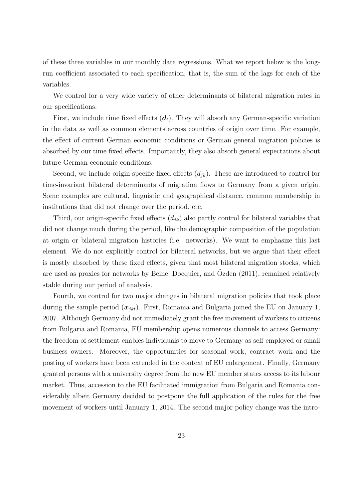of these three variables in our monthly data regressions. What we report below is the longrun coefficient associated to each specification, that is, the sum of the lags for each of the variables.

We control for a very wide variety of other determinants of bilateral migration rates in our specifications.

First, we include time fixed effects  $(d_t)$ . They will absorb any German-specific variation in the data as well as common elements across countries of origin over time. For example, the effect of current German economic conditions or German general migration policies is absorbed by our time fixed effects. Importantly, they also absorb general expectations about future German economic conditions.

Second, we include origin-specific fixed effects (*djk*). These are introduced to control for time-invariant bilateral determinants of migration flows to Germany from a given origin. Some examples are cultural, linguistic and geographical distance, common membership in institutions that did not change over the period, etc.

Third, our origin-specific fixed effects (*djk*) also partly control for bilateral variables that did not change much during the period, like the demographic composition of the population at origin or bilateral migration histories (i.e. networks). We want to emphasize this last element. We do not explicitly control for bilateral networks, but we argue that their effect is mostly absorbed by these fixed effects, given that most bilateral migration stocks, which are used as proxies for networks by Beine, Docquier, and  $\ddot{O}zden (2011)$ , remained relatively stable during our period of analysis.

Fourth, we control for two major changes in bilateral migration policies that took place during the sample period (*xjkt*). First, Romania and Bulgaria joined the EU on January 1, 2007. Although Germany did not immediately grant the free movement of workers to citizens from Bulgaria and Romania, EU membership opens numerous channels to access Germany: the freedom of settlement enables individuals to move to Germany as self-employed or small business owners. Moreover, the opportunities for seasonal work, contract work and the posting of workers have been extended in the context of EU enlargement. Finally, Germany granted persons with a university degree from the new EU member states access to its labour market. Thus, accession to the EU facilitated immigration from Bulgaria and Romania considerably albeit Germany decided to postpone the full application of the rules for the free movement of workers until January 1, 2014. The second major policy change was the intro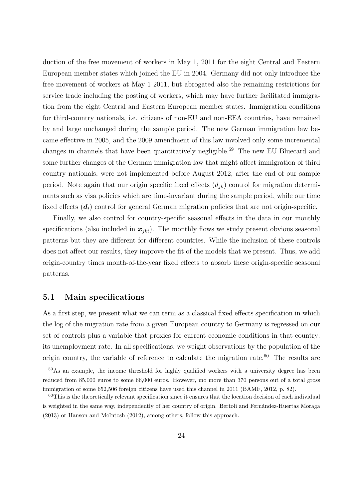duction of the free movement of workers in May 1, 2011 for the eight Central and Eastern European member states which joined the EU in 2004. Germany did not only introduce the free movement of workers at May 1 2011, but abrogated also the remaining restrictions for service trade including the posting of workers, which may have further facilitated immigration from the eight Central and Eastern European member states. Immigration conditions for third-country nationals, i.e. citizens of non-EU and non-EEA countries, have remained by and large unchanged during the sample period. The new German immigration law became effective in 2005, and the 2009 amendment of this law involved only some incremental changes in channels that have been quantitatively negligible.<sup>59</sup> The new EU Bluecard and some further changes of the German immigration law that might affect immigration of third country nationals, were not implemented before August 2012, after the end of our sample period. Note again that our origin specific fixed effects  $(d_{ik})$  control for migration determinants such as visa policies which are time-invariant during the sample period, while our time fixed effects  $(d_t)$  control for general German migration policies that are not origin-specific.

Finally, we also control for country-specific seasonal effects in the data in our monthly specifications (also included in  $x_{jkt}$ ). The monthly flows we study present obvious seasonal patterns but they are different for different countries. While the inclusion of these controls does not affect our results, they improve the fit of the models that we present. Thus, we add origin-country times month-of-the-year fixed effects to absorb these origin-specific seasonal patterns.

### **5.1 Main specifications**

As a first step, we present what we can term as a classical fixed effects specification in which the log of the migration rate from a given European country to Germany is regressed on our set of controls plus a variable that proxies for current economic conditions in that country: its unemployment rate. In all specifications, we weight observations by the population of the origin country, the variable of reference to calculate the migration rate.<sup>60</sup> The results are

<sup>59</sup>As an example, the income threshold for highly qualified workers with a university degree has been reduced from 85,000 euros to some 66,000 euros. However, mo more than 370 persons out of a total gross immigration of some 652,506 foreign citizens have used this channel in 2011 (BAMF, 2012, p. 82).

 $60$ This is the theoretically relevant specification since it ensures that the location decision of each individual is weighted in the same way, independently of her country of origin. Bertoli and Fernández-Huertas Moraga (2013) or Hanson and McIntosh (2012), among others, follow this approach.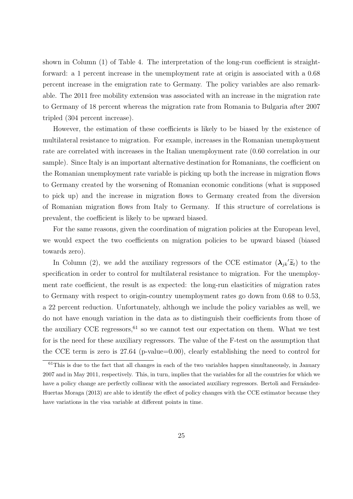shown in Column (1) of Table 4. The interpretation of the long-run coefficient is straightforward: a 1 percent increase in the unemployment rate at origin is associated with a 0.68 percent increase in the emigration rate to Germany. The policy variables are also remarkable. The 2011 free mobility extension was associated with an increase in the migration rate to Germany of 18 percent whereas the migration rate from Romania to Bulgaria after 2007 tripled (304 percent increase).

However, the estimation of these coefficients is likely to be biased by the existence of multilateral resistance to migration. For example, increases in the Romanian unemployment rate are correlated with increases in the Italian unemployment rate (0.60 correlation in our sample). Since Italy is an important alternative destination for Romanians, the coefficient on the Romanian unemployment rate variable is picking up both the increase in migration flows to Germany created by the worsening of Romanian economic conditions (what is supposed to pick up) and the increase in migration flows to Germany created from the diversion of Romanian migration flows from Italy to Germany. If this structure of correlations is prevalent, the coefficient is likely to be upward biased.

For the same reasons, given the coordination of migration policies at the European level, we would expect the two coefficients on migration policies to be upward biased (biased towards zero).

In Column (2), we add the auxiliary regressors of the CCE estimator  $(\lambda_{jk}/\tilde{z}_t)$  to the specification in order to control for multilateral resistance to migration. For the unemployment rate coefficient, the result is as expected: the long-run elasticities of migration rates to Germany with respect to origin-country unemployment rates go down from 0.68 to 0.53, a 22 percent reduction. Unfortunately, although we include the policy variables as well, we do not have enough variation in the data as to distinguish their coefficients from those of the auxiliary CCE regressors,  $61$  so we cannot test our expectation on them. What we test for is the need for these auxiliary regressors. The value of the F-test on the assumption that the CCE term is zero is 27.64 (p-value=0.00), clearly establishing the need to control for

 $61$ This is due to the fact that all changes in each of the two variables happen simultaneously, in January 2007 and in May 2011, respectively. This, in turn, implies that the variables for all the countries for which we have a policy change are perfectly collinear with the associated auxiliary regressors. Bertoli and Fernández-Huertas Moraga (2013) are able to identify the effect of policy changes with the CCE estimator because they have variations in the visa variable at different points in time.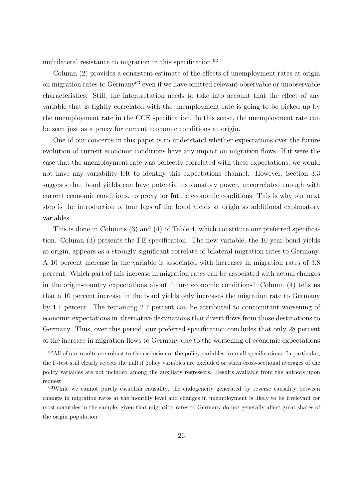multilateral resistance to migration in this specification.<sup>62</sup>

Column (2) provides a consistent estimate of the effects of unemployment rates at origin on migration rates to Germany<sup>63</sup> even if we have omitted relevant observable or unobservable characteristics. Still, the interpretation needs to take into account that the effect of any variable that is tightly correlated with the unemployment rate is going to be picked up by the unemployment rate in the CCE specification. In this sense, the unemployment rate can be seen just as a proxy for current economic conditions at origin.

One of our concerns in this paper is to understand whether expectations over the future evolution of current economic conditions have any impact on migration flows. If it were the case that the unemployment rate was perfectly correlated with these expectations, we would not have any variability left to identify this expectations channel. However, Section 3.3 suggests that bond yields can have potential explanatory power, uncorrelated enough with current economic conditions, to proxy for future economic conditions. This is why our next step is the introduction of four lags of the bond yields at origin as additional explanatory variables.

This is done in Columns (3) and (4) of Table 4, which constitute our preferred specification. Column (3) presents the FE specification. The new variable, the 10-year bond yields at origin, appears as a strongly significant correlate of bilateral migration rates to Germany. A 10 percent increase in the variable is associated with increases in migration rates of 3.8 percent. Which part of this increase in migration rates can be associated with actual changes in the origin-country expectations about future economic conditions? Column (4) tells us that a 10 percent increase in the bond yields only increases the migration rate to Germany by 1.1 percent. The remaining 2.7 percent can be attributed to concomitant worsening of economic expectations in alternative destinations that divert flows from those destinations to Germany. Thus, over this period, our preferred specification concludes that only 28 percent of the increase in migration flows to Germany due to the worsening of economic expectations

 $62$ All of our results are robust to the exclusion of the policy variables from all specifications. In particular, the F-test still clearly rejects the null if policy variables are excluded or when cross-sectional averages of the policy variables are not included among the auxiliary regressors. Results available from the authors upon request.

<sup>&</sup>lt;sup>63</sup>While we cannot purely establish causality, the endogeneity generated by reverse causality between changes in migration rates at the monthly level and changes in unemployment is likely to be irrelevant for most countries in the sample, given that migration rates to Germany do not generally affect great shares of the origin population.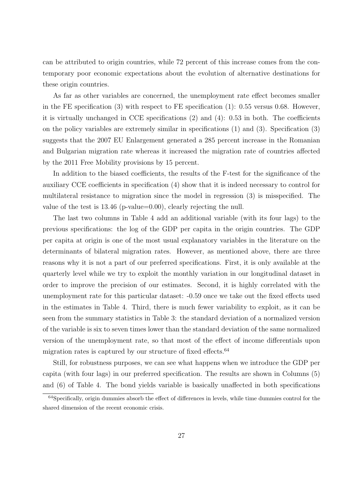can be attributed to origin countries, while 72 percent of this increase comes from the contemporary poor economic expectations about the evolution of alternative destinations for these origin countries.

As far as other variables are concerned, the unemployment rate effect becomes smaller in the FE specification  $(3)$  with respect to FE specification  $(1)$ : 0.55 versus 0.68. However, it is virtually unchanged in CCE specifications (2) and (4): 0.53 in both. The coefficients on the policy variables are extremely similar in specifications (1) and (3). Specification (3) suggests that the 2007 EU Enlargement generated a 285 percent increase in the Romanian and Bulgarian migration rate whereas it increased the migration rate of countries affected by the 2011 Free Mobility provisions by 15 percent.

In addition to the biased coefficients, the results of the F-test for the significance of the auxiliary CCE coefficients in specification (4) show that it is indeed necessary to control for multilateral resistance to migration since the model in regression (3) is misspecified. The value of the test is 13.46 (p-value=0.00), clearly rejecting the null.

The last two columns in Table 4 add an additional variable (with its four lags) to the previous specifications: the log of the GDP per capita in the origin countries. The GDP per capita at origin is one of the most usual explanatory variables in the literature on the determinants of bilateral migration rates. However, as mentioned above, there are three reasons why it is not a part of our preferred specifications. First, it is only available at the quarterly level while we try to exploit the monthly variation in our longitudinal dataset in order to improve the precision of our estimates. Second, it is highly correlated with the unemployment rate for this particular dataset: -0.59 once we take out the fixed effects used in the estimates in Table 4. Third, there is much fewer variability to exploit, as it can be seen from the summary statistics in Table 3: the standard deviation of a normalized version of the variable is six to seven times lower than the standard deviation of the same normalized version of the unemployment rate, so that most of the effect of income differentials upon migration rates is captured by our structure of fixed effects.<sup>64</sup>

Still, for robustness purposes, we can see what happens when we introduce the GDP per capita (with four lags) in our preferred specification. The results are shown in Columns (5) and (6) of Table 4. The bond yields variable is basically unaffected in both specifications

<sup>&</sup>lt;sup>64</sup>Specifically, origin dummies absorb the effect of differences in levels, while time dummies control for the shared dimension of the recent economic crisis.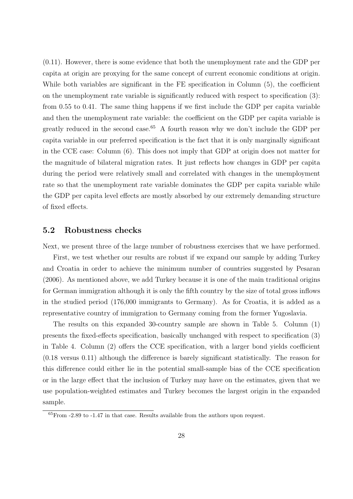(0.11). However, there is some evidence that both the unemployment rate and the GDP per capita at origin are proxying for the same concept of current economic conditions at origin. While both variables are significant in the FE specification in Column (5), the coefficient on the unemployment rate variable is significantly reduced with respect to specification (3): from 0.55 to 0.41. The same thing happens if we first include the GDP per capita variable and then the unemployment rate variable: the coefficient on the GDP per capita variable is greatly reduced in the second case.<sup>65</sup> A fourth reason why we don't include the GDP per capita variable in our preferred specification is the fact that it is only marginally significant in the CCE case: Column (6). This does not imply that GDP at origin does not matter for the magnitude of bilateral migration rates. It just reflects how changes in GDP per capita during the period were relatively small and correlated with changes in the unemployment rate so that the unemployment rate variable dominates the GDP per capita variable while the GDP per capita level effects are mostly absorbed by our extremely demanding structure of fixed effects.

### **5.2 Robustness checks**

Next, we present three of the large number of robustness exercises that we have performed. First, we test whether our results are robust if we expand our sample by adding Turkey and Croatia in order to achieve the minimum number of countries suggested by Pesaran (2006). As mentioned above, we add Turkey because it is one of the main traditional origins for German immigration although it is only the fifth country by the size of total gross inflows in the studied period (176,000 immigrants to Germany). As for Croatia, it is added as a representative country of immigration to Germany coming from the former Yugoslavia.

The results on this expanded 30-country sample are shown in Table 5. Column (1) presents the fixed-effects specification, basically unchanged with respect to specification (3) in Table 4. Column (2) offers the CCE specification, with a larger bond yields coefficient (0.18 versus 0.11) although the difference is barely significant statistically. The reason for this difference could either lie in the potential small-sample bias of the CCE specification or in the large effect that the inclusion of Turkey may have on the estimates, given that we use population-weighted estimates and Turkey becomes the largest origin in the expanded sample.

 ${}^{65}$ From  $-2.89$  to  $-1.47$  in that case. Results available from the authors upon request.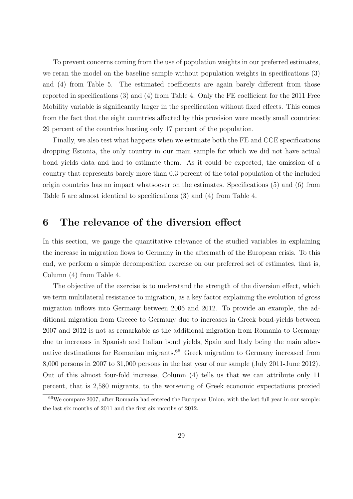To prevent concerns coming from the use of population weights in our preferred estimates, we reran the model on the baseline sample without population weights in specifications (3) and (4) from Table 5. The estimated coefficients are again barely different from those reported in specifications (3) and (4) from Table 4. Only the FE coefficient for the 2011 Free Mobility variable is significantly larger in the specification without fixed effects. This comes from the fact that the eight countries affected by this provision were mostly small countries: 29 percent of the countries hosting only 17 percent of the population.

Finally, we also test what happens when we estimate both the FE and CCE specifications dropping Estonia, the only country in our main sample for which we did not have actual bond yields data and had to estimate them. As it could be expected, the omission of a country that represents barely more than 0.3 percent of the total population of the included origin countries has no impact whatsoever on the estimates. Specifications (5) and (6) from Table 5 are almost identical to specifications (3) and (4) from Table 4.

# **6 The relevance of the diversion effect**

In this section, we gauge the quantitative relevance of the studied variables in explaining the increase in migration flows to Germany in the aftermath of the European crisis. To this end, we perform a simple decomposition exercise on our preferred set of estimates, that is, Column (4) from Table 4.

The objective of the exercise is to understand the strength of the diversion effect, which we term multilateral resistance to migration, as a key factor explaining the evolution of gross migration inflows into Germany between 2006 and 2012. To provide an example, the additional migration from Greece to Germany due to increases in Greek bond-yields between 2007 and 2012 is not as remarkable as the additional migration from Romania to Germany due to increases in Spanish and Italian bond yields, Spain and Italy being the main alternative destinations for Romanian migrants.<sup>66</sup> Greek migration to Germany increased from 8,000 persons in 2007 to 31,000 persons in the last year of our sample (July 2011-June 2012). Out of this almost four-fold increase, Column (4) tells us that we can attribute only 11 percent, that is 2,580 migrants, to the worsening of Greek economic expectations proxied

 $66W$ e compare 2007, after Romania had entered the European Union, with the last full year in our sample: the last six months of 2011 and the first six months of 2012.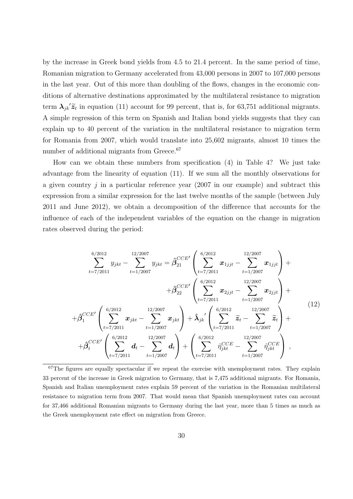by the increase in Greek bond yields from 4.5 to 21.4 percent. In the same period of time, Romanian migration to Germany accelerated from 43,000 persons in 2007 to 107,000 persons in the last year. Out of this more than doubling of the flows, changes in the economic conditions of alternative destinations approximated by the multilateral resistance to migration term  $\lambda_{jk}$ <sup>'</sup> $\tilde{z}_t$  in equation (11) account for 99 percent, that is, for 63,751 additional migrants. A simple regression of this term on Spanish and Italian bond yields suggests that they can explain up to 40 percent of the variation in the multilateral resistance to migration term for Romania from 2007, which would translate into 25,602 migrants, almost 10 times the number of additional migrants from Greece.<sup>67</sup>

How can we obtain these numbers from specification (4) in Table 4? We just take advantage from the linearity of equation (11). If we sum all the monthly observations for a given country *j* in a particular reference year (2007 in our example) and subtract this expression from a similar expression for the last twelve months of the sample (between July 2011 and June 2012), we obtain a decomposition of the difference that accounts for the influence of each of the independent variables of the equation on the change in migration rates observed during the period:

$$
\sum_{t=7/2011}^{6/2012} y_{jkt} - \sum_{t=1/2007}^{12/2007} y_{jkt} = \hat{\beta}_{21}^{CCE'} \left( \sum_{t=7/2011}^{6/2012} x_{1jjt} - \sum_{t=1/2007}^{12/2007} x_{1jjt} \right) + \n+ \hat{\beta}_{22}^{CCE'} \left( \sum_{t=7/2011}^{6/2012} x_{2jjt} - \sum_{t=1/2007}^{12/2007} x_{2jjt} \right) + \n+ \hat{\beta}_{1}^{CCE'} \left( \sum_{t=7/2011}^{6/2012} x_{jkt} - \sum_{t=1/2007}^{12/2007} x_{jkt} \right) + \hat{\lambda}_{jk'} \left( \sum_{t=7/2011}^{6/2012} \tilde{z}_{t} - \sum_{t=1/2007}^{12/2007} \tilde{z}_{t} \right) + \n+ \hat{\beta}_{t}^{CCE'} \left( \sum_{t=7/2011}^{6/2012} d_{t} - \sum_{t=1/2007}^{12/2007} d_{t} \right) + \left( \sum_{t=7/2011}^{6/2012} \hat{\eta}_{jkt}^{CCE} - \sum_{t=1/2007}^{12/2007} \hat{\eta}_{jkt}^{CCE} \right) ,
$$
\n(12)

 $67$ The figures are equally spectacular if we repeat the exercise with unemployment rates. They explain 33 percent of the increase in Greek migration to Germany, that is 7,475 additional migrants. For Romania, Spanish and Italian unemployment rates explain 59 percent of the variation in the Romanian multilateral resistance to migration term from 2007. That would mean that Spanish unemployment rates can account for 37,466 additional Romanian migrants to Germany during the last year, more than 5 times as much as the Greek unemployment rate effect on migration from Greece.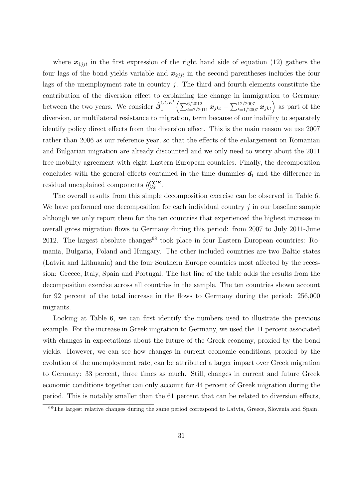where  $x_{1jjt}$  in the first expression of the right hand side of equation (12) gathers the four lags of the bond yields variable and  $x_{2jjt}$  in the second parentheses includes the four lags of the unemployment rate in country *j*. The third and fourth elements constitute the contribution of the diversion effect to explaining the change in immigration to Germany between the two years. We consider  $\hat{\beta}_1^{CCE}$  $\int_{1}^{CCE'} \left( \sum_{t=7/2011}^{6/2012} \bm{x}_{jkt} - \sum_{t=1/2007}^{12/2007} \bm{x}_{jkt} \right)$  as part of the diversion, or multilateral resistance to migration, term because of our inability to separately identify policy direct effects from the diversion effect. This is the main reason we use 2007 rather than 2006 as our reference year, so that the effects of the enlargement on Romanian and Bulgarian migration are already discounted and we only need to worry about the 2011 free mobility agreement with eight Eastern European countries. Finally, the decomposition concludes with the general effects contained in the time dummies  $d_t$  and the difference in residual unexplained components  $\hat{\eta}_{jkt}^{CCE}$ .

The overall results from this simple decomposition exercise can be observed in Table 6. We have performed one decomposition for each individual country *j* in our baseline sample although we only report them for the ten countries that experienced the highest increase in overall gross migration flows to Germany during this period: from 2007 to July 2011-June 2012. The largest absolute changes<sup>68</sup> took place in four Eastern European countries: Romania, Bulgaria, Poland and Hungary. The other included countries are two Baltic states (Latvia and Lithuania) and the four Southern Europe countries most affected by the recession: Greece, Italy, Spain and Portugal. The last line of the table adds the results from the decomposition exercise across all countries in the sample. The ten countries shown account for 92 percent of the total increase in the flows to Germany during the period: 256,000 migrants.

Looking at Table 6, we can first identify the numbers used to illustrate the previous example. For the increase in Greek migration to Germany, we used the 11 percent associated with changes in expectations about the future of the Greek economy, proxied by the bond yields. However, we can see how changes in current economic conditions, proxied by the evolution of the unemployment rate, can be attributed a larger impact over Greek migration to Germany: 33 percent, three times as much. Still, changes in current and future Greek economic conditions together can only account for 44 percent of Greek migration during the period. This is notably smaller than the 61 percent that can be related to diversion effects,

<sup>68</sup>The largest relative changes during the same period correspond to Latvia, Greece, Slovenia and Spain.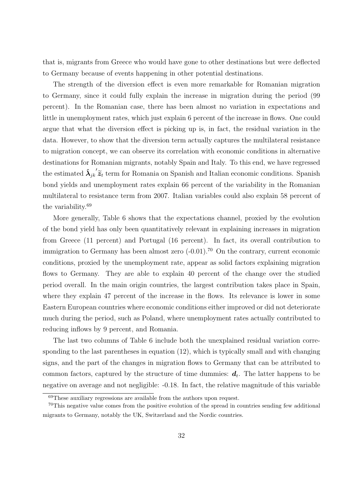that is, migrants from Greece who would have gone to other destinations but were deflected to Germany because of events happening in other potential destinations.

The strength of the diversion effect is even more remarkable for Romanian migration to Germany, since it could fully explain the increase in migration during the period (99 percent). In the Romanian case, there has been almost no variation in expectations and little in unemployment rates, which just explain 6 percent of the increase in flows. One could argue that what the diversion effect is picking up is, in fact, the residual variation in the data. However, to show that the diversion term actually captures the multilateral resistance to migration concept, we can observe its correlation with economic conditions in alternative destinations for Romanian migrants, notably Spain and Italy. To this end, we have regressed the estimated  $\hat{\lambda}_{jk}^{\prime} \tilde{z}_t$  term for Romania on Spanish and Italian economic conditions. Spanish bond yields and unemployment rates explain 66 percent of the variability in the Romanian multilateral to resistance term from 2007. Italian variables could also explain 58 percent of the variability.<sup>69</sup>

More generally, Table 6 shows that the expectations channel, proxied by the evolution of the bond yield has only been quantitatively relevant in explaining increases in migration from Greece (11 percent) and Portugal (16 percent). In fact, its overall contribution to immigration to Germany has been almost zero  $(-0.01)$ .<sup>70</sup> On the contrary, current economic conditions, proxied by the unemployment rate, appear as solid factors explaining migration flows to Germany. They are able to explain 40 percent of the change over the studied period overall. In the main origin countries, the largest contribution takes place in Spain, where they explain 47 percent of the increase in the flows. Its relevance is lower in some Eastern European countries where economic conditions either improved or did not deteriorate much during the period, such as Poland, where unemployment rates actually contributed to reducing inflows by 9 percent, and Romania.

The last two columns of Table 6 include both the unexplained residual variation corresponding to the last parentheses in equation (12), which is typically small and with changing signs, and the part of the changes in migration flows to Germany that can be attributed to common factors, captured by the structure of time dummies:  $d_t$ . The latter happens to be negative on average and not negligible: -0.18. In fact, the relative magnitude of this variable

<sup>69</sup>These auxiliary regressions are available from the authors upon request.

<sup>70</sup>This negative value comes from the positive evolution of the spread in countries sending few additional migrants to Germany, notably the UK, Switzerland and the Nordic countries.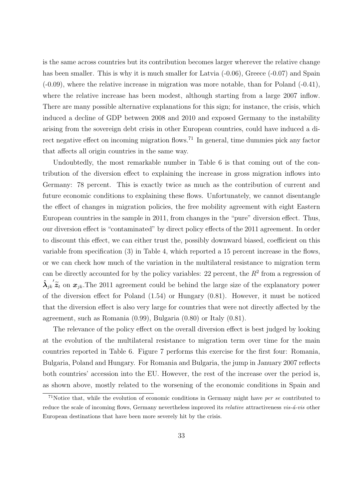is the same across countries but its contribution becomes larger wherever the relative change has been smaller. This is why it is much smaller for Latvia  $(-0.06)$ , Greece  $(-0.07)$  and Spain (-0.09), where the relative increase in migration was more notable, than for Poland (-0.41), where the relative increase has been modest, although starting from a large 2007 inflow. There are many possible alternative explanations for this sign; for instance, the crisis, which induced a decline of GDP between 2008 and 2010 and exposed Germany to the instability arising from the sovereign debt crisis in other European countries, could have induced a direct negative effect on incoming migration flows.<sup>71</sup> In general, time dummies pick any factor that affects all origin countries in the same way.

Undoubtedly, the most remarkable number in Table 6 is that coming out of the contribution of the diversion effect to explaining the increase in gross migration inflows into Germany: 78 percent. This is exactly twice as much as the contribution of current and future economic conditions to explaining these flows. Unfortunately, we cannot disentangle the effect of changes in migration policies, the free mobility agreement with eight Eastern European countries in the sample in 2011, from changes in the "pure" diversion effect. Thus, our diversion effect is "contaminated" by direct policy effects of the 2011 agreement. In order to discount this effect, we can either trust the, possibly downward biased, coefficient on this variable from specification (3) in Table 4, which reported a 15 percent increase in the flows, or we can check how much of the variation in the multilateral resistance to migration term can be directly accounted for by the policy variables: 22 percent, the  $R<sup>2</sup>$  from a regression of  $\lambda_{jk}^{\prime\prime}$ <sup>'</sup> $\tilde{z}_t$  on  $x_{jk}$ . The 2011 agreement could be behind the large size of the explanatory power of the diversion effect for Poland (1.54) or Hungary (0.81). However, it must be noticed that the diversion effect is also very large for countries that were not directly affected by the agreement, such as Romania (0.99), Bulgaria (0.80) or Italy (0.81).

The relevance of the policy effect on the overall diversion effect is best judged by looking at the evolution of the multilateral resistance to migration term over time for the main countries reported in Table 6. Figure 7 performs this exercise for the first four: Romania, Bulgaria, Poland and Hungary. For Romania and Bulgaria, the jump in January 2007 reflects both countries' accession into the EU. However, the rest of the increase over the period is, as shown above, mostly related to the worsening of the economic conditions in Spain and

<sup>71</sup>Notice that, while the evolution of economic conditions in Germany might have *per se* contributed to reduce the scale of incoming flows, Germany nevertheless improved its *relative* attractiveness *vis-á-vis* other European destinations that have been more severely hit by the crisis.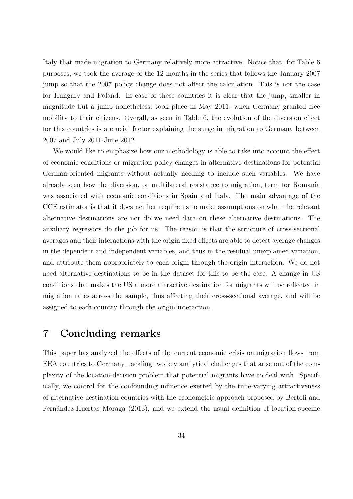Italy that made migration to Germany relatively more attractive. Notice that, for Table 6 purposes, we took the average of the 12 months in the series that follows the January 2007 jump so that the 2007 policy change does not affect the calculation. This is not the case for Hungary and Poland. In case of these countries it is clear that the jump, smaller in magnitude but a jump nonetheless, took place in May 2011, when Germany granted free mobility to their citizens. Overall, as seen in Table 6, the evolution of the diversion effect for this countries is a crucial factor explaining the surge in migration to Germany between 2007 and July 2011-June 2012.

We would like to emphasize how our methodology is able to take into account the effect of economic conditions or migration policy changes in alternative destinations for potential German-oriented migrants without actually needing to include such variables. We have already seen how the diversion, or multilateral resistance to migration, term for Romania was associated with economic conditions in Spain and Italy. The main advantage of the CCE estimator is that it does neither require us to make assumptions on what the relevant alternative destinations are nor do we need data on these alternative destinations. The auxiliary regressors do the job for us. The reason is that the structure of cross-sectional averages and their interactions with the origin fixed effects are able to detect average changes in the dependent and independent variables, and thus in the residual unexplained variation, and attribute them appropriately to each origin through the origin interaction. We do not need alternative destinations to be in the dataset for this to be the case. A change in US conditions that makes the US a more attractive destination for migrants will be reflected in migration rates across the sample, thus affecting their cross-sectional average, and will be assigned to each country through the origin interaction.

# **7 Concluding remarks**

This paper has analyzed the effects of the current economic crisis on migration flows from EEA countries to Germany, tackling two key analytical challenges that arise out of the complexity of the location-decision problem that potential migrants have to deal with. Specifically, we control for the confounding influence exerted by the time-varying attractiveness of alternative destination countries with the econometric approach proposed by Bertoli and Fernández-Huertas Moraga (2013), and we extend the usual definition of location-specific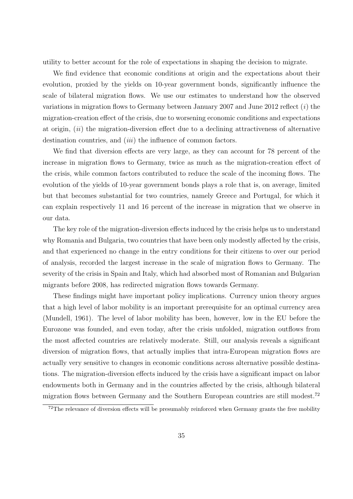utility to better account for the role of expectations in shaping the decision to migrate.

We find evidence that economic conditions at origin and the expectations about their evolution, proxied by the yields on 10-year government bonds, significantly influence the scale of bilateral migration flows. We use our estimates to understand how the observed variations in migration flows to Germany between January 2007 and June 2012 reflect (*i*) the migration-creation effect of the crisis, due to worsening economic conditions and expectations at origin, (*ii*) the migration-diversion effect due to a declining attractiveness of alternative destination countries, and (*iii*) the influence of common factors.

We find that diversion effects are very large, as they can account for 78 percent of the increase in migration flows to Germany, twice as much as the migration-creation effect of the crisis, while common factors contributed to reduce the scale of the incoming flows. The evolution of the yields of 10-year government bonds plays a role that is, on average, limited but that becomes substantial for two countries, namely Greece and Portugal, for which it can explain respectively 11 and 16 percent of the increase in migration that we observe in our data.

The key role of the migration-diversion effects induced by the crisis helps us to understand why Romania and Bulgaria, two countries that have been only modestly affected by the crisis, and that experienced no change in the entry conditions for their citizens to over our period of analysis, recorded the largest increase in the scale of migration flows to Germany. The severity of the crisis in Spain and Italy, which had absorbed most of Romanian and Bulgarian migrants before 2008, has redirected migration flows towards Germany.

These findings might have important policy implications. Currency union theory argues that a high level of labor mobility is an important prerequisite for an optimal currency area (Mundell, 1961). The level of labor mobility has been, however, low in the EU before the Eurozone was founded, and even today, after the crisis unfolded, migration outflows from the most affected countries are relatively moderate. Still, our analysis reveals a significant diversion of migration flows, that actually implies that intra-European migration flows are actually very sensitive to changes in economic conditions across alternative possible destinations. The migration-diversion effects induced by the crisis have a significant impact on labor endowments both in Germany and in the countries affected by the crisis, although bilateral migration flows between Germany and the Southern European countries are still modest.<sup>72</sup>

 $72$ The relevance of diversion effects will be presumably reinforced when Germany grants the free mobility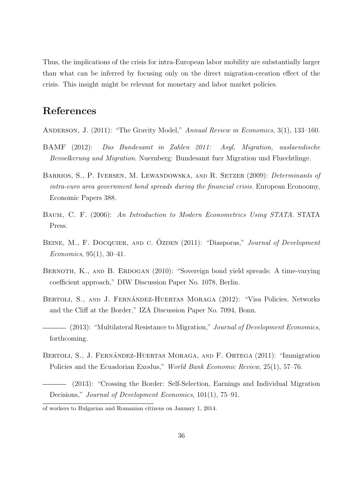Thus, the implications of the crisis for intra-European labor mobility are substantially larger than what can be inferred by focusing only on the direct migration-creation effect of the crisis. This insight might be relevant for monetary and labor market policies.

# **References**

- Anderson, J. (2011): "The Gravity Model," *Annual Review in Economics*, 3(1), 133–160.
- BAMF (2012): *Das Bundesamt in Zahlen 2011: Asyl, Migration, auslaendische Bevoelkerung und Migration*. Nuernberg: Bundesamt fuer Migration und Fluechtlinge.
- Barrios, S., P. Iversen, M. Lewandowska, and R. Setzer (2009): *Determinants of intra-euro area government bond spreads during the financial crisis*. European Econoomy, Economic Papers 388.
- Baum, C. F. (2006): *An Introduction to Modern Econometrics Using STATA*. STATA Press.
- BEINE, M., F. DOCQUIER, AND C. ÖZDEN (2011): "Diasporas," *Journal of Development Economics*, 95(1), 30–41.
- BERNOTH, K., AND B. ERDOGAN (2010): "Sovereign bond yield spreads: A time-varying coefficient approach," DIW Discussion Paper No. 1078, Berlin.
- BERTOLI, S., AND J. FERNÁNDEZ-HUERTAS MORAGA (2012): "Visa Policies, Networks and the Cliff at the Border," IZA Discussion Paper No. 7094, Bonn.
- (2013): "Multilateral Resistance to Migration," *Journal of Development Economics*, forthcoming.
- BERTOLI, S., J. FERNÁNDEZ-HUERTAS MORAGA, AND F. ORTEGA (2011): "Immigration Policies and the Ecuadorian Exodus," *World Bank Economic Review*, 25(1), 57–76.
- (2013): "Crossing the Border: Self-Selection, Earnings and Individual Migration Decisions," *Journal of Development Economics*, 101(1), 75–91.

of workers to Bulgarian and Romanian citizens on January 1, 2014.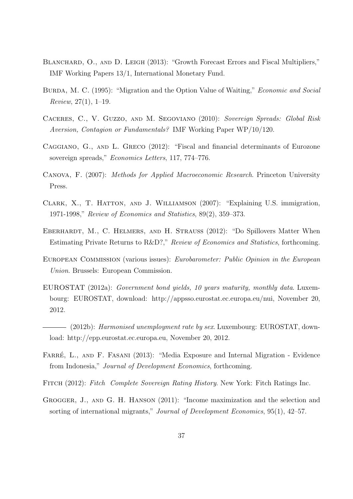- BLANCHARD, O., AND D. LEIGH (2013): "Growth Forecast Errors and Fiscal Multipliers," IMF Working Papers 13/1, International Monetary Fund.
- Burda, M. C. (1995): "Migration and the Option Value of Waiting," *Economic and Social Review*, 27(1), 1–19.
- Caceres, C., V. Guzzo, and M. Segoviano (2010): *Sovereign Spreads: Global Risk Aversion, Contagion or Fundamentals?* IMF Working Paper WP/10/120.
- Caggiano, G., and L. Greco (2012): "Fiscal and financial determinants of Eurozone sovereign spreads," *Economics Letters*, 117, 774–776.
- Canova, F. (2007): *Methods for Applied Macroeconomic Research*. Princeton University Press.
- CLARK, X., T. HATTON, AND J. WILLIAMSON (2007): "Explaining U.S. immigration, 1971-1998," *Review of Economics and Statistics*, 89(2), 359–373.
- EBERHARDT, M., C. HELMERS, AND H. STRAUSS (2012): "Do Spillovers Matter When Estimating Private Returns to R&D?," *Review of Economics and Statistics*, forthcoming.
- European Commission (various issues): *Eurobarometer: Public Opinion in the European Union*. Brussels: European Commission.
- EUROSTAT (2012a): *Government bond yields, 10 years maturity, monthly data*. Luxembourg: EUROSTAT, download: http://appsso.eurostat.ec.europa.eu/nui, November 20, 2012.
- (2012b): *Harmonised unemployment rate by sex*. Luxembourg: EUROSTAT, download: http://epp.eurostat.ec.europa.eu, November 20, 2012.
- FARRÉ, L., AND F. FASANI (2013): "Media Exposure and Internal Migration Evidence from Indonesia," *Journal of Development Economics*, forthcoming.
- Fitch (2012): *Fitch Complete Sovereign Rating History*. New York: Fitch Ratings Inc.
- GROGGER, J., AND G. H. HANSON (2011): "Income maximization and the selection and sorting of international migrants," *Journal of Development Economics*, 95(1), 42–57.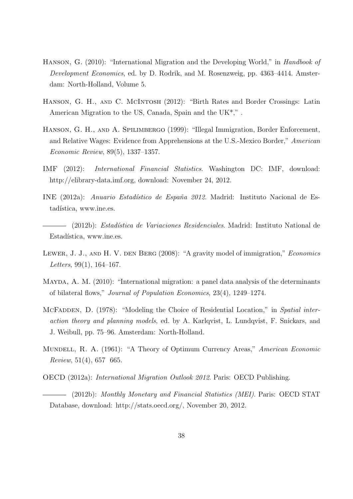- Hanson, G. (2010): "International Migration and the Developing World," in *Handbook of Development Economics*, ed. by D. Rodrik, and M. Rosenzweig, pp. 4363–4414. Amsterdam: North-Holland, Volume 5.
- HANSON, G. H., AND C. MCINTOSH (2012): "Birth Rates and Border Crossings: Latin American Migration to the US, Canada, Spain and the UK\*," .
- Hanson, G. H., and A. Spilimbergo (1999): "Illegal Immigration, Border Enforcement, and Relative Wages: Evidence from Apprehensions at the U.S.-Mexico Border," *American Economic Review*, 89(5), 1337–1357.
- IMF (2012): *International Financial Statistics*. Washington DC: IMF, download: http://elibrary-data.imf.org, download: November 24, 2012.
- INE (2012a): *Anuario Estad´ıstico de Espa˜na 2012*. Madrid: Instituto Nacional de Estadística, www.ine.es.
- (2012b): *Estad´ıstica de Variaciones Residenciales*. Madrid: Instituto National de Estadística, www.ine.es.
- Lewer, J. J., and H. V. den Berg (2008): "A gravity model of immigration," *Economics Letters*, 99(1), 164–167.
- MAYDA, A. M. (2010): "International migration: a panel data analysis of the determinants of bilateral flows," *Journal of Population Economics*, 23(4), 1249–1274.
- McFadden, D. (1978): "Modeling the Choice of Residential Location," in *Spatial interaction theory and planning models*, ed. by A. Karlqvist, L. Lundqvist, F. Snickars, and J. Weibull, pp. 75–96. Amsterdam: North-Holland.
- Mundell, R. A. (1961): "A Theory of Optimum Currency Areas," *American Economic Review*, 51(4), 657 665.
- OECD (2012a): *International Migration Outlook 2012*. Paris: OECD Publishing.
- (2012b): *Monthly Monetary and Financial Statistics (MEI)*. Paris: OECD STAT Database, download: http://stats.oecd.org/, November 20, 2012.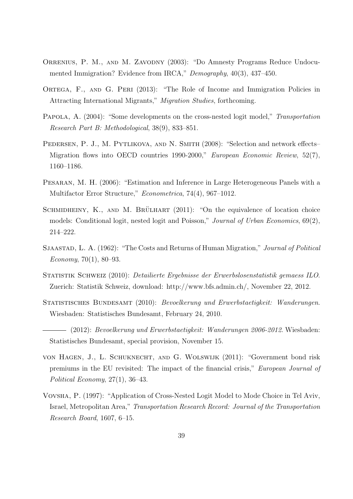- ORRENIUS, P. M., AND M. ZAVODNY (2003): "Do Amnesty Programs Reduce Undocumented Immigration? Evidence from IRCA," *Demography*, 40(3), 437–450.
- ORTEGA, F., AND G. PERI (2013): "The Role of Income and Immigration Policies in Attracting International Migrants," *Migration Studies*, forthcoming.
- Papola, A. (2004): "Some developments on the cross-nested logit model," *Transportation Research Part B: Methodological*, 38(9), 833–851.
- PEDERSEN, P. J., M. PYTLIKOVA, AND N. SMITH (2008): "Selection and network effects– Migration flows into OECD countries 1990-2000," *European Economic Review*, 52(7), 1160–1186.
- Pesaran, M. H. (2006): "Estimation and Inference in Large Heterogeneous Panels with a Multifactor Error Structure," *Econometrica*, 74(4), 967–1012.
- SCHMIDHEINY, K., AND M. BRÜLHART  $(2011)$ : "On the equivalence of location choice models: Conditional logit, nested logit and Poisson," *Journal of Urban Economics*, 69(2), 214–222.
- Sjaastad, L. A. (1962): "The Costs and Returns of Human Migration," *Journal of Political Economy*, 70(1), 80–93.
- Statistik Schweiz (2010): *Detailierte Ergebnisse der Erwerbslosenstatistik gemaess ILO*. Zuerich: Statistik Schweiz, download: http://www.bfs.admin.ch/, November 22, 2012.
- Statistisches Bundesamt (2010): *Bevoelkerung und Erwerbstaetigkeit: Wanderungen*. Wiesbaden: Statistisches Bundesamt, February 24, 2010.
- (2012): *Bevoelkerung und Erwerbstaetigkeit: Wanderungen 2006-2012*. Wiesbaden: Statistisches Bundesamt, special provision, November 15.
- von Hagen, J., L. Schuknecht, and G. Wolswijk (2011): "Government bond risk premiums in the EU revisited: The impact of the financial crisis," *European Journal of Political Economy*, 27(1), 36–43.
- Vovsha, P. (1997): "Application of Cross-Nested Logit Model to Mode Choice in Tel Aviv, Israel, Metropolitan Area," *Transportation Research Record: Journal of the Transportation Research Board*, 1607, 6–15.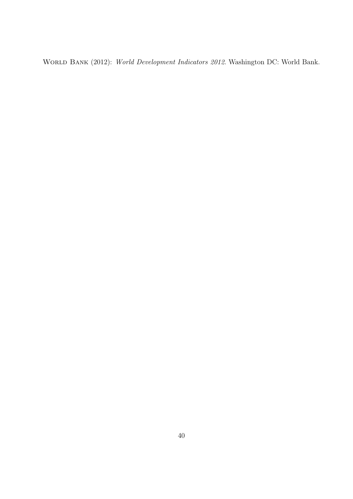World Bank (2012): *World Development Indicators 2012*. Washington DC: World Bank.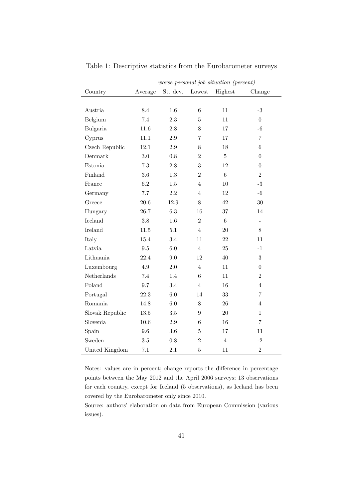|                 | worse personal job situation (percent) |          |                  |                 |                          |  |  |
|-----------------|----------------------------------------|----------|------------------|-----------------|--------------------------|--|--|
| Country         | Average                                | St. dev. | Lowest           | Highest         | Change                   |  |  |
|                 |                                        |          |                  |                 |                          |  |  |
| Austria         | 8.4                                    | $1.6\,$  | $\,6$            | 11              | $-3$                     |  |  |
| Belgium         | 7.4                                    | 2.3      | 5                | 11              | $\overline{0}$           |  |  |
| Bulgaria        | 11.6                                   | $2.8\,$  | 8                | 17              | $-6$                     |  |  |
| Cyprus          | 11.1                                   | $2.9\,$  | $\overline{7}$   | 17              | $\overline{7}$           |  |  |
| Czech Republic  | 12.1                                   | $2.9\,$  | 8                | 18              | $\,6\,$                  |  |  |
| Denmark         | 3.0                                    | 0.8      | $\overline{2}$   | $\overline{5}$  | $\overline{0}$           |  |  |
| Estonia         | 7.3                                    | $2.8\,$  | 3                | 12              | $\overline{0}$           |  |  |
| Finland         | $3.6\,$                                | 1.3      | $\overline{2}$   | $6\phantom{.}6$ | $\overline{2}$           |  |  |
| France          | 6.2                                    | $1.5\,$  | $\overline{4}$   | 10              | $-3$                     |  |  |
| Germany         | 7.7                                    | $2.2\,$  | $\overline{4}$   | 12              | $-6$                     |  |  |
| Greece          | $20.6\,$                               | 12.9     | 8                | 42              | $30\,$                   |  |  |
| Hungary         | 26.7                                   | 6.3      | 16               | 37              | 14                       |  |  |
| Iceland         | $3.8\,$                                | 1.6      | $\overline{2}$   | $6\phantom{.}6$ | $\overline{\phantom{a}}$ |  |  |
| Ireland         | 11.5                                   | 5.1      | $\overline{4}$   | 20              | 8                        |  |  |
| Italy           | 15.4                                   | 3.4      | 11               | 22              | 11                       |  |  |
| Latvia          | $9.5\,$                                | $6.0\,$  | $\overline{4}$   | 25              | $-1$                     |  |  |
| Lithuania       | 22.4                                   | 9.0      | 12               | 40              | 3                        |  |  |
| Luxembourg      | 4.9                                    | $2.0\,$  | $\overline{4}$   | 11              | $\overline{0}$           |  |  |
| Netherlands     | 7.4                                    | 1.4      | $\,6$            | 11              | $\overline{2}$           |  |  |
| Poland          | 9.7                                    | 3.4      | $\overline{4}$   | 16              | $\overline{4}$           |  |  |
| Portugal        | $22.3\,$                               | $6.0\,$  | 14               | 33              | $\overline{7}$           |  |  |
| Romania         | 14.8                                   | $6.0\,$  | 8                | 26              | $\overline{4}$           |  |  |
| Slovak Republic | 13.5                                   | $3.5\,$  | $\boldsymbol{9}$ | $20\,$          | $\mathbf{1}$             |  |  |
| Slovenia        | 10.6                                   | $2.9\,$  | 6                | 16              | $\overline{7}$           |  |  |
| Spain           | $9.6\,$                                | $3.6\,$  | $\bf 5$          | 17              | 11                       |  |  |
| Sweden          | $3.5\,$                                | 0.8      | $\overline{2}$   | $\overline{4}$  | $-2$                     |  |  |
| United Kingdom  | $7.1\,$                                | $2.1\,$  | $\bf 5$          | 11              | $\,2$                    |  |  |

Table 1: Descriptive statistics from the Eurobarometer surveys

Notes: values are in percent; change reports the difference in percentage points between the May 2012 and the April 2006 surveys; 13 observations for each country, except for Iceland (5 observations), as Iceland has been covered by the Eurobarometer only since 2010.

Source: authors' elaboration on data from European Commission (various issues).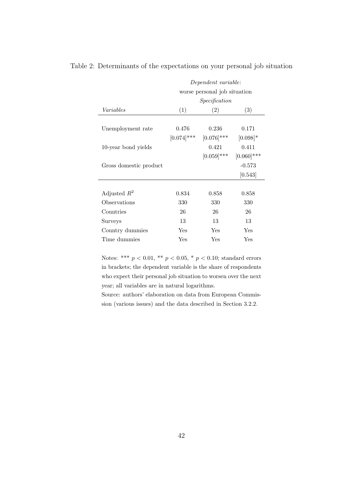|                        | Dependent variable:<br>worse personal job situation |               |               |  |  |  |  |  |
|------------------------|-----------------------------------------------------|---------------|---------------|--|--|--|--|--|
|                        |                                                     |               |               |  |  |  |  |  |
|                        |                                                     | Specification |               |  |  |  |  |  |
| Variables              | (1)                                                 | (2)           | (3)           |  |  |  |  |  |
|                        |                                                     |               |               |  |  |  |  |  |
| Unemployment rate      | 0.476                                               | 0.236         | 0.171         |  |  |  |  |  |
|                        | $[0.074]$ ***                                       | $[0.076]$ *** | $[0.098]*$    |  |  |  |  |  |
| 10-year bond yields    |                                                     | 0.421         | 0.411         |  |  |  |  |  |
|                        |                                                     | $[0.059]$ *** | $[0.060]$ *** |  |  |  |  |  |
| Gross domestic product |                                                     |               | $-0.573$      |  |  |  |  |  |
|                        |                                                     |               | [0.543]       |  |  |  |  |  |
|                        |                                                     |               |               |  |  |  |  |  |
| Adjusted $R^2$         | 0.834                                               | 0.858         | 0.858         |  |  |  |  |  |
| Observations           | 330                                                 | 330           | 330           |  |  |  |  |  |
| Countries              | 26                                                  | 26            | 26            |  |  |  |  |  |
| Surveys                | 13                                                  | 13            | 13            |  |  |  |  |  |
| Country dummies        | Yes                                                 | Yes           | Yes           |  |  |  |  |  |
| Time dummies           | Yes                                                 | Yes           | Yes           |  |  |  |  |  |

Table 2: Determinants of the expectations on your personal job situation

Notes: \*\*\*  $p < 0.01$ , \*\*  $p < 0.05$ , \*  $p < 0.10$ ; standard errors in brackets; the dependent variable is the share of respondents who expect their personal job situation to worsen over the next year; all variables are in natural logarithms.

Source: authors' elaboration on data from European Commission (various issues) and the data described in Section 3.2.2.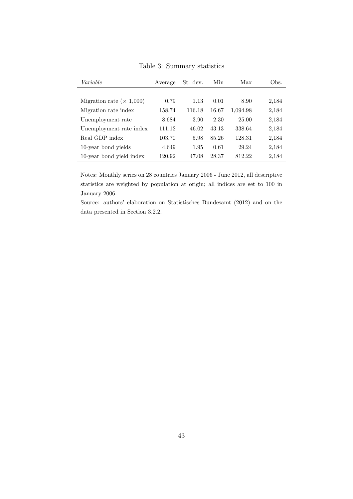| Variable                         | Average | St. dev. | Min   | Max      | Obs.  |
|----------------------------------|---------|----------|-------|----------|-------|
|                                  |         |          |       |          |       |
| Migration rate ( $\times$ 1,000) | 0.79    | 1.13     | 0.01  | 8.90     | 2,184 |
| Migration rate index             | 158.74  | 116.18   | 16.67 | 1,094.98 | 2,184 |
| Unemployment rate                | 8.684   | 3.90     | 2.30  | 25.00    | 2,184 |
| Unemployment rate index          | 111.12  | 46.02    | 43.13 | 338.64   | 2,184 |
| Real GDP index                   | 103.70  | 5.98     | 85.26 | 128.31   | 2,184 |
| 10-year bond yields              | 4.649   | 1.95     | 0.61  | 29.24    | 2,184 |
| 10-year bond yield index         | 120.92  | 47.08    | 28.37 | 812.22   | 2,184 |

Table 3: Summary statistics

Notes: Monthly series on 28 countries January 2006 - June 2012, all descriptive statistics are weighted by population at origin; all indices are set to 100 in January 2006.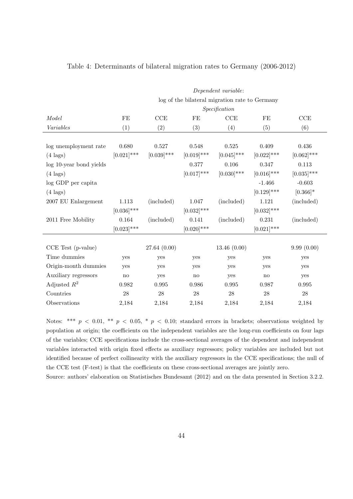|                         | Dependent variable: |               |                        |                                                |               |               |  |  |  |
|-------------------------|---------------------|---------------|------------------------|------------------------------------------------|---------------|---------------|--|--|--|
|                         |                     |               |                        | log of the bilateral migration rate to Germany |               |               |  |  |  |
|                         | Specification       |               |                        |                                                |               |               |  |  |  |
| Model                   | FE                  | CCE           | FE                     | CCE                                            | FE            | CCE           |  |  |  |
| Variables               | (1)                 | (2)           | (3)                    | (4)                                            | (5)           | (6)           |  |  |  |
|                         |                     |               |                        |                                                |               |               |  |  |  |
| log unemployment rate   | 0.680               | 0.527         | 0.548                  | 0.525                                          | 0.409         | 0.436         |  |  |  |
| $(4 \text{ lags})$      | $[0.021]$ ***       | $[0.039]$ *** | $[0.019]$ ***          | $[0.045]$ ***                                  | $[0.022]$ *** | $[0.062]$ *** |  |  |  |
| log 10-year bond yields |                     |               | 0.377                  | 0.106                                          | 0.347         | 0.113         |  |  |  |
| $(4 \text{ lags})$      |                     |               | $[0.017]$ ***          | $[0.030]$ ***                                  | $[0.016]$ *** | $[0.035]$ *** |  |  |  |
| log GDP per capita      |                     |               |                        |                                                | $-1.466$      | $-0.603$      |  |  |  |
| $(4 \text{ lags})$      |                     |               |                        |                                                | $[0.129]$ *** | $[0.366]$ *   |  |  |  |
| 2007 EU Enlargement     | 1.113               | (included)    | 1.047                  | (included)                                     | 1.121         | (included)    |  |  |  |
|                         | $[0.036]$ ***       |               | $[0.032]$ ***          |                                                | $[0.032]$ *** |               |  |  |  |
| 2011 Free Mobility      | 0.164               | (included)    | 0.141                  | (included)                                     | 0.231         | (included)    |  |  |  |
|                         | $[0.023]$ ***       |               | $[0.020]$ ***          |                                                | $[0.021]$ *** |               |  |  |  |
|                         |                     |               |                        |                                                |               |               |  |  |  |
| CCE Test (p-value)      |                     | 27.64(0.00)   |                        | 13.46(0.00)                                    |               | 9.99(0.00)    |  |  |  |
| Time dummies            | yes                 | yes           | yes                    | yes                                            | yes           | yes           |  |  |  |
| Origin-month dummies    | yes                 | yes           | yes                    | yes                                            | yes           | yes           |  |  |  |
| Auxiliary regressors    | $\mathbf{no}$       | yes           | $\mathbf{n}\mathbf{o}$ | yes                                            | no            | yes           |  |  |  |
| Adjusted $R^2$          | 0.982               | $\,0.995\,$   | 0.986                  | 0.995                                          | 0.987         | $\,0.995\,$   |  |  |  |
| Countries               | 28                  | 28            | 28                     | 28                                             | 28            | $28\,$        |  |  |  |
| Observations            | 2,184               | 2,184         | 2,184                  | 2,184                                          | 2,184         | 2,184         |  |  |  |

#### Table 4: Determinants of bilateral migration rates to Germany (2006-2012)

Notes: \*\*\*  $p < 0.01$ , \*\*  $p < 0.05$ , \*  $p < 0.10$ ; standard errors in brackets; observations weighted by population at origin; the coefficients on the independent variables are the long-run coefficients on four lags of the variables; CCE specifications include the cross-sectional averages of the dependent and independent variables interacted with origin fixed effects as auxiliary regressors; policy variables are included but not identified because of perfect collinearity with the auxiliary regressors in the CCE specifications; the null of the CCE test (F-test) is that the coefficients on these cross-sectional averages are jointly zero. Source: authors' elaboration on Statistisches Bundesamt (2012) and on the data presented in Section 3.2.2.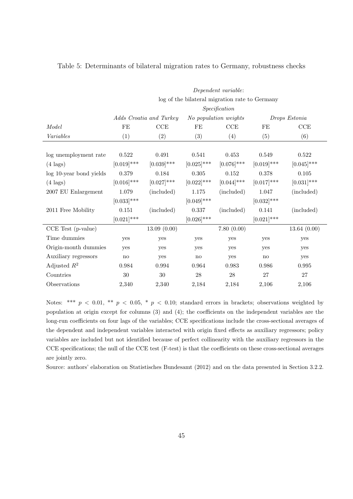| Dependent variable:                            |               |                         |               |                       |               |  |  |  |
|------------------------------------------------|---------------|-------------------------|---------------|-----------------------|---------------|--|--|--|
| log of the bilateral migration rate to Germany |               |                         |               |                       |               |  |  |  |
| Specification                                  |               |                         |               |                       |               |  |  |  |
|                                                |               |                         |               | Drops Estonia         |               |  |  |  |
| FE                                             | CCE           | FE                      | CCE           | FE                    | CCE           |  |  |  |
| (1)                                            | (2)           | (3)                     | (4)           | (5)                   | (6)           |  |  |  |
|                                                |               |                         |               |                       |               |  |  |  |
| 0.522                                          | 0.491         | 0.541                   | 0.453         | 0.549                 | $0.522\,$     |  |  |  |
| $[0.019]$ ***                                  | $[0.039]$ *** | $[0.025]$ ***           | $[0.076]$ *** | $[0.019]$ ***         | $[0.045]$ *** |  |  |  |
| 0.379                                          | 0.184         | 0.305                   | $0.152\,$     | 0.378                 | 0.105         |  |  |  |
| $[0.016]$ ***                                  | $[0.027]$ *** | $[0.022]$ ***           | $[0.044]$ *** | $[0.017]$ ***         | $[0.031]$ *** |  |  |  |
| 1.079                                          | (included)    | 1.175                   | (included)    | 1.047                 | (included)    |  |  |  |
| $[0.033]$ ***                                  |               | $[0.049]$ ***           |               | $[0.032]$ ***         |               |  |  |  |
| 0.151                                          | (included)    | 0.337                   | (included)    | 0.141                 | (included)    |  |  |  |
| $[0.021]$ ***                                  |               | $[0.026]$ ***           |               | $[0.021]$ ***         |               |  |  |  |
|                                                | 13.09(0.00)   |                         | 7.80(0.00)    |                       | 13.64(0.00)   |  |  |  |
| yes                                            | yes           | yes                     | yes           | yes                   | yes           |  |  |  |
| yes                                            | yes           | yes                     | yes           | yes                   | yes           |  |  |  |
| $\mathbf{no}$                                  | yes           | no                      | yes           | no                    | yes           |  |  |  |
| 0.984                                          | 0.994         | 0.964                   | 0.983         | 0.986                 | 0.995         |  |  |  |
| $30\,$                                         | 30            | ${\bf 28}$              | $28\,$        | $27\,$                | 27            |  |  |  |
| 2,340                                          | 2,340         | 2,184                   | 2,184         | 2,106                 | 2,106         |  |  |  |
|                                                |               | Adds Croatia and Turkey |               | No population weights |               |  |  |  |

#### Table 5: Determinants of bilateral migration rates to Germany, robustness checks

Notes: \*\*\*  $p < 0.01$ , \*\*  $p < 0.05$ , \*  $p < 0.10$ ; standard errors in brackets; observations weighted by population at origin except for columns (3) and (4); the coefficients on the independent variables are the long-run coefficients on four lags of the variables; CCE specifications include the cross-sectional averages of the dependent and independent variables interacted with origin fixed effects as auxiliary regressors; policy variables are included but not identified because of perfect collinearity with the auxiliary regressors in the CCE specifications; the null of the CCE test (F-test) is that the coefficients on these cross-sectional averages are jointly zero.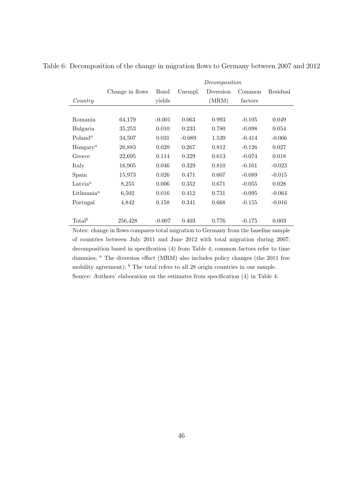|                                     |                 | Decomposition |          |           |          |          |
|-------------------------------------|-----------------|---------------|----------|-----------|----------|----------|
|                                     | Change in flows | Bond          | Unempl.  | Diversion | Common   | Residual |
| Country                             |                 | yields        |          | (MRM)     | factors  |          |
|                                     |                 |               |          |           |          |          |
| Romania                             | 64,179          | $-0.001$      | 0.063    | 0.993     | $-0.105$ | 0.049    |
| Bulgaria                            | 35,253          | 0.010         | 0.233    | 0.780     | $-0.098$ | 0.054    |
| $Poland^a$                          | 34,507          | 0.031         | $-0.089$ | 1.539     | $-0.414$ | $-0.066$ |
| Hungary <sup>a</sup>                | 26,883          | 0.020         | 0.267    | 0.812     | $-0.126$ | 0.027    |
| Greece                              | 22,695          | 0.114         | 0.329    | 0.613     | $-0.074$ | 0.018    |
| Italy                               | 16,905          | 0.046         | 0.329    | 0.810     | $-0.161$ | $-0.023$ |
| Spain                               | 15,973          | 0.026         | 0.471    | 0.607     | $-0.089$ | $-0.015$ |
| $Latvia^a$                          | 8,255           | 0.006         | 0.352    | 0.671     | $-0.055$ | 0.028    |
| Lithuania <sup><math>a</math></sup> | 6,502           | 0.016         | 0.412    | 0.731     | $-0.095$ | $-0.064$ |
| Portugal                            | 4,842           | 0.158         | 0.341    | 0.668     | $-0.155$ | $-0.016$ |
|                                     |                 |               |          |           |          |          |
| Total <sup>b</sup>                  | 256,428         | $-0.007$      | 0.403    | 0.776     | $-0.175$ | 0.003    |

Table 6: Decomposition of the change in migration flows to Germany between 2007 and 2012

Notes: change in flows compares total migration to Germany from the baseline sample of countries between July 2011 and June 2012 with total migration during 2007; decomposition based in specification (4) from Table 4; common factors refer to time dummies; <sup>*a*</sup> The diversion effect (MRM) also includes policy changes (the 2011 free mobility agreement); <sup>*b*</sup> The total refers to all 28 origin countries in our sample. Source: Authors' elaboration on the estimates from specification (4) in Table 4.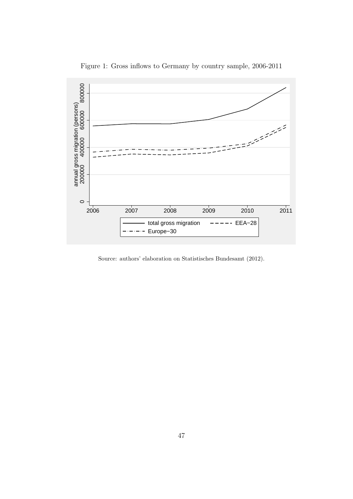

Figure 1: Gross inflows to Germany by country sample, 2006-2011

Source: authors' elaboration on Statistisches Bundesamt (2012).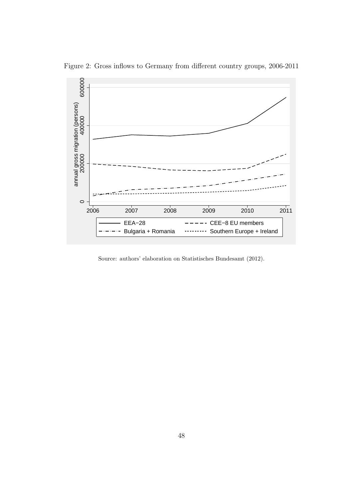

Figure 2: Gross inflows to Germany from different country groups, 2006-2011

Source: authors' elaboration on Statistisches Bundesamt (2012).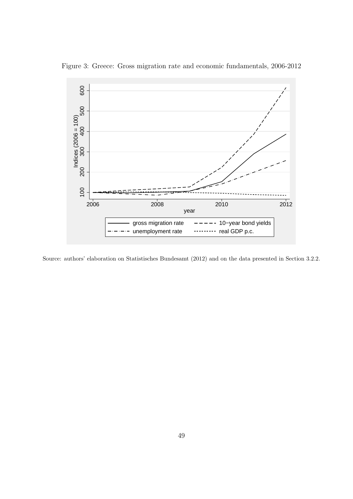

Figure 3: Greece: Gross migration rate and economic fundamentals, 2006-2012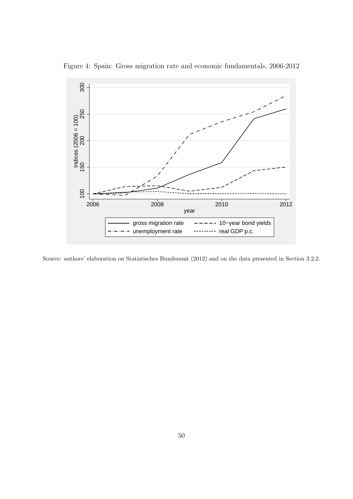

Figure 4: Spain: Gross migration rate and economic fundamentals, 2006-2012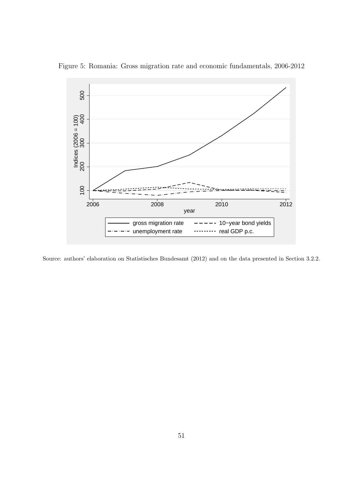

Figure 5: Romania: Gross migration rate and economic fundamentals, 2006-2012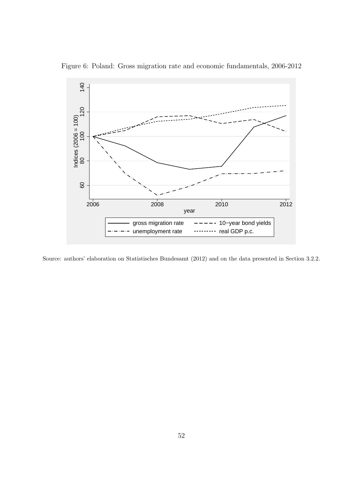

Figure 6: Poland: Gross migration rate and economic fundamentals, 2006-2012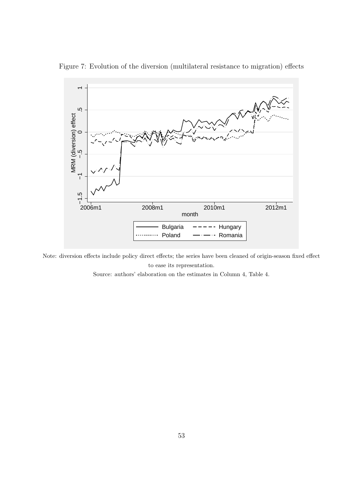

Figure 7: Evolution of the diversion (multilateral resistance to migration) effects

Note: diversion effects include policy direct effects; the series have been cleaned of origin-season fixed effect to ease its representation.

Source: authors' elaboration on the estimates in Column 4, Table 4.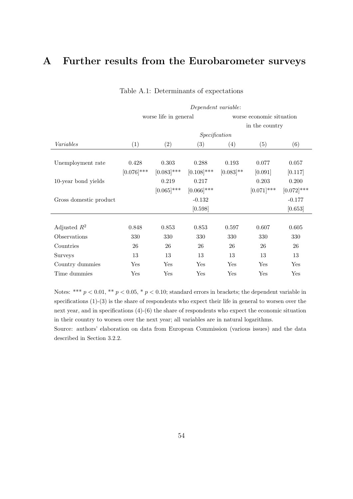# **A Further results from the Eurobarometer surveys**

|                        | Dependent variable:   |               |               |              |                          |               |  |
|------------------------|-----------------------|---------------|---------------|--------------|--------------------------|---------------|--|
|                        | worse life in general |               |               |              | worse economic situation |               |  |
|                        |                       |               |               |              | in the country           |               |  |
|                        |                       |               | Specification |              |                          |               |  |
| Variables              | (1)                   | (2)           | (3)           | (4)          | (5)                      | (6)           |  |
|                        |                       |               |               |              |                          |               |  |
| Unemployment rate      | 0.428                 | 0.303         | 0.288         | 0.193        | 0.077                    | 0.057         |  |
|                        | $[0.076]$ ***         | $[0.083]$ *** | $[0.108]$ *** | $[0.083]$ ** | [0.091]                  | [0.117]       |  |
| 10-year bond yields    |                       | 0.219         | 0.217         |              | 0.203                    | 0.200         |  |
|                        |                       | $[0.065]$ *** | $[0.066]$ *** |              | $[0.071]$ ***            | $[0.072]$ *** |  |
| Gross domestic product |                       |               | $-0.132$      |              |                          | $-0.177$      |  |
|                        |                       |               | [0.598]       |              |                          | [0.653]       |  |
|                        |                       |               |               |              |                          |               |  |
| Adjusted $R^2$         | 0.848                 | 0.853         | 0.853         | 0.597        | 0.607                    | 0.605         |  |
| Observations           | 330                   | 330           | 330           | 330          | 330                      | 330           |  |
| Countries              | 26                    | 26            | 26            | 26           | 26                       | 26            |  |
| Surveys                | 13                    | 13            | 13            | 13           | 13                       | 13            |  |
| Country dummies        | Yes                   | Yes           | Yes           | Yes          | Yes                      | Yes           |  |
| Time dummies           | Yes                   | Yes           | Yes           | $_{\rm Yes}$ | Yes                      | Yes           |  |

#### Table A.1: Determinants of expectations

Notes: \*\*\*  $p < 0.01$ , \*\*  $p < 0.05$ , \*  $p < 0.10$ ; standard errors in brackets; the dependent variable in specifications (1)-(3) is the share of respondents who expect their life in general to worsen over the next year, and in specifications (4)-(6) the share of respondents who expect the economic situation in their country to worsen over the next year; all variables are in natural logarithms.

Source: authors' elaboration on data from European Commission (various issues) and the data described in Section 3.2.2.